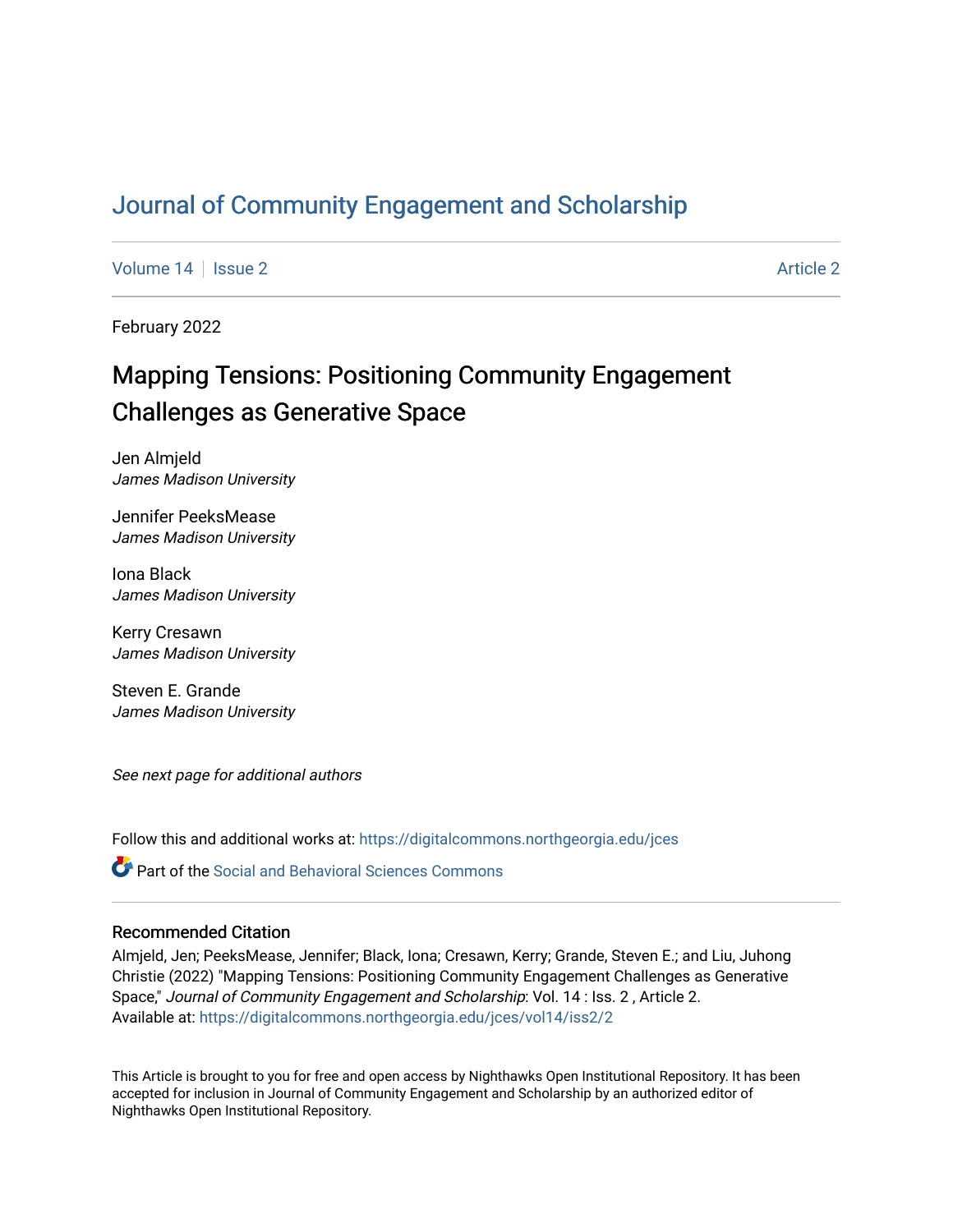# [Journal of Community Engagement and Scholarship](https://digitalcommons.northgeorgia.edu/jces)

[Volume 14](https://digitalcommons.northgeorgia.edu/jces/vol14) | [Issue 2](https://digitalcommons.northgeorgia.edu/jces/vol14/iss2) [Article 2](https://digitalcommons.northgeorgia.edu/jces/vol14/iss2/2) Article 2 Article 2 Article 2 Article 2 Article 2 Article 2 Article 2 Article 2

February 2022

# Mapping Tensions: Positioning Community Engagement Challenges as Generative Space

Jen Almjeld James Madison University

Jennifer PeeksMease James Madison University

Iona Black James Madison University

Kerry Cresawn James Madison University

Steven E. Grande James Madison University

See next page for additional authors

Follow this and additional works at: [https://digitalcommons.northgeorgia.edu/jces](https://digitalcommons.northgeorgia.edu/jces?utm_source=digitalcommons.northgeorgia.edu%2Fjces%2Fvol14%2Fiss2%2F2&utm_medium=PDF&utm_campaign=PDFCoverPages)

**P** Part of the Social and Behavioral Sciences Commons

### Recommended Citation

Almjeld, Jen; PeeksMease, Jennifer; Black, Iona; Cresawn, Kerry; Grande, Steven E.; and Liu, Juhong Christie (2022) "Mapping Tensions: Positioning Community Engagement Challenges as Generative Space," Journal of Community Engagement and Scholarship: Vol. 14 : Iss. 2 , Article 2. Available at: [https://digitalcommons.northgeorgia.edu/jces/vol14/iss2/2](https://digitalcommons.northgeorgia.edu/jces/vol14/iss2/2?utm_source=digitalcommons.northgeorgia.edu%2Fjces%2Fvol14%2Fiss2%2F2&utm_medium=PDF&utm_campaign=PDFCoverPages) 

This Article is brought to you for free and open access by Nighthawks Open Institutional Repository. It has been accepted for inclusion in Journal of Community Engagement and Scholarship by an authorized editor of Nighthawks Open Institutional Repository.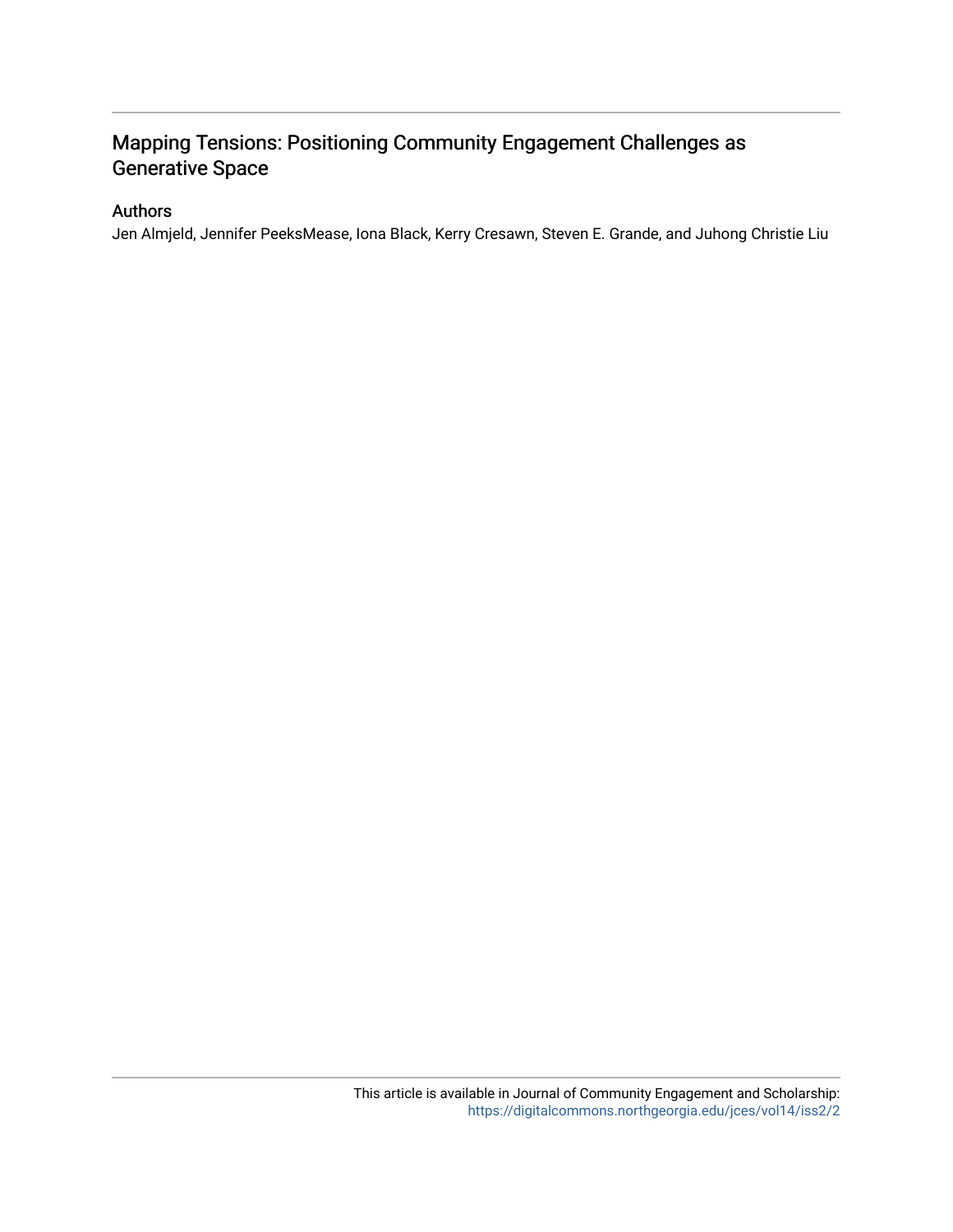### Mapping Tensions: Positioning Community Engagement Challenges as Generative Space

### Authors

Jen Almjeld, Jennifer PeeksMease, Iona Black, Kerry Cresawn, Steven E. Grande, and Juhong Christie Liu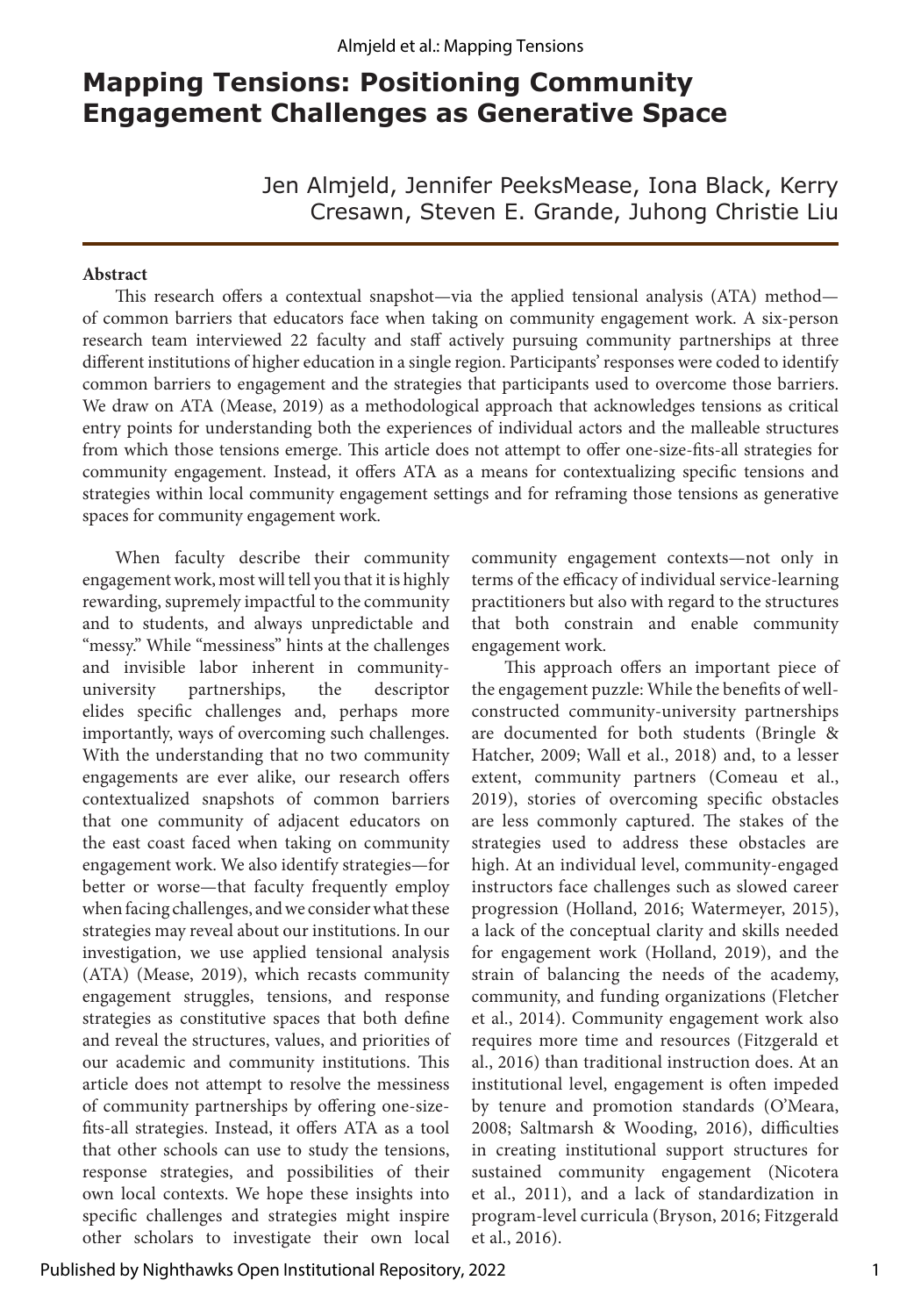## **Mapping Tensions: Positioning Community Engagement Challenges as Generative Space**

Jen Almjeld, Jennifer PeeksMease, Iona Black, Kerry Cresawn, Steven E. Grande, Juhong Christie Liu

#### **Abstract**

This research offers a contextual snapshot—via the applied tensional analysis (ATA) method of common barriers that educators face when taking on community engagement work. A six-person research team interviewed 22 faculty and staff actively pursuing community partnerships at three different institutions of higher education in a single region. Participants' responses were coded to identify common barriers to engagement and the strategies that participants used to overcome those barriers. We draw on ATA (Mease, 2019) as a methodological approach that acknowledges tensions as critical entry points for understanding both the experiences of individual actors and the malleable structures from which those tensions emerge. This article does not attempt to offer one-size-fits-all strategies for community engagement. Instead, it offers ATA as a means for contextualizing specific tensions and strategies within local community engagement settings and for reframing those tensions as generative spaces for community engagement work.

When faculty describe their community engagement work, most will tell you that it is highly rewarding, supremely impactful to the community and to students, and always unpredictable and "messy." While "messiness" hints at the challenges and invisible labor inherent in communityuniversity partnerships, the descriptor elides specific challenges and, perhaps more importantly, ways of overcoming such challenges. With the understanding that no two community engagements are ever alike, our research offers contextualized snapshots of common barriers that one community of adjacent educators on the east coast faced when taking on community engagement work. We also identify strategies—for better or worse—that faculty frequently employ when facing challenges, and we consider what these strategies may reveal about our institutions. In our investigation, we use applied tensional analysis (ATA) (Mease, 2019), which recasts community engagement struggles, tensions, and response strategies as constitutive spaces that both define and reveal the structures, values, and priorities of our academic and community institutions. This article does not attempt to resolve the messiness of community partnerships by offering one-sizefits-all strategies. Instead, it offers ATA as a tool that other schools can use to study the tensions, response strategies, and possibilities of their own local contexts. We hope these insights into specific challenges and strategies might inspire other scholars to investigate their own local

community engagement contexts—not only in terms of the efficacy of individual service-learning practitioners but also with regard to the structures that both constrain and enable community engagement work.

This approach offers an important piece of the engagement puzzle: While the benefits of wellconstructed community-university partnerships are documented for both students (Bringle & Hatcher, 2009; Wall et al., 2018) and, to a lesser extent, community partners (Comeau et al., 2019), stories of overcoming specific obstacles are less commonly captured. The stakes of the strategies used to address these obstacles are high. At an individual level, community-engaged instructors face challenges such as slowed career progression (Holland, 2016; Watermeyer, 2015), a lack of the conceptual clarity and skills needed for engagement work (Holland, 2019), and the strain of balancing the needs of the academy, community, and funding organizations (Fletcher et al., 2014). Community engagement work also requires more time and resources (Fitzgerald et al., 2016) than traditional instruction does. At an institutional level, engagement is often impeded by tenure and promotion standards (O'Meara, 2008; Saltmarsh & Wooding, 2016), difficulties in creating institutional support structures for sustained community engagement (Nicotera et al., 2011), and a lack of standardization in program-level curricula (Bryson, 2016; Fitzgerald et al., 2016).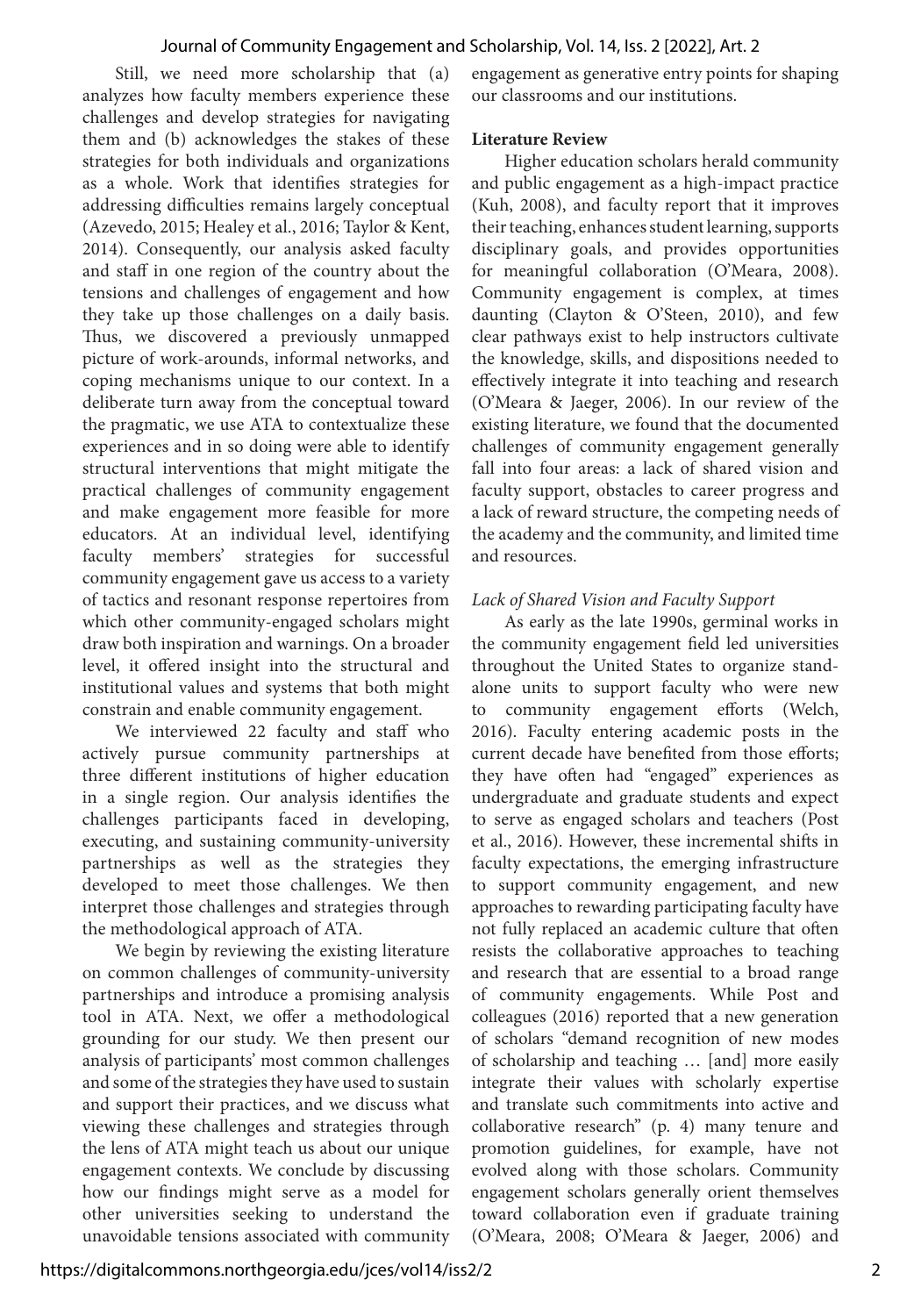Still, we need more scholarship that (a) analyzes how faculty members experience these challenges and develop strategies for navigating them and (b) acknowledges the stakes of these strategies for both individuals and organizations as a whole. Work that identifies strategies for addressing difficulties remains largely conceptual (Azevedo, 2015; Healey et al., 2016; Taylor & Kent, 2014). Consequently, our analysis asked faculty and staff in one region of the country about the tensions and challenges of engagement and how they take up those challenges on a daily basis. Thus, we discovered a previously unmapped picture of work-arounds, informal networks, and coping mechanisms unique to our context. In a deliberate turn away from the conceptual toward the pragmatic, we use ATA to contextualize these experiences and in so doing were able to identify structural interventions that might mitigate the practical challenges of community engagement and make engagement more feasible for more educators. At an individual level, identifying faculty members' strategies for successful community engagement gave us access to a variety of tactics and resonant response repertoires from which other community-engaged scholars might draw both inspiration and warnings. On a broader level, it offered insight into the structural and institutional values and systems that both might constrain and enable community engagement.

We interviewed 22 faculty and staff who actively pursue community partnerships at three different institutions of higher education in a single region. Our analysis identifies the challenges participants faced in developing, executing, and sustaining community-university partnerships as well as the strategies they developed to meet those challenges. We then interpret those challenges and strategies through the methodological approach of ATA.

We begin by reviewing the existing literature on common challenges of community-university partnerships and introduce a promising analysis tool in ATA. Next, we offer a methodological grounding for our study. We then present our analysis of participants' most common challenges and some of the strategies they have used to sustain and support their practices, and we discuss what viewing these challenges and strategies through the lens of ATA might teach us about our unique engagement contexts. We conclude by discussing how our findings might serve as a model for other universities seeking to understand the unavoidable tensions associated with community

engagement as generative entry points for shaping our classrooms and our institutions.

#### **Literature Review**

Higher education scholars herald community and public engagement as a high-impact practice (Kuh, 2008), and faculty report that it improves their teaching, enhances student learning, supports disciplinary goals, and provides opportunities for meaningful collaboration (O'Meara, 2008). Community engagement is complex, at times daunting (Clayton & O'Steen, 2010), and few clear pathways exist to help instructors cultivate the knowledge, skills, and dispositions needed to effectively integrate it into teaching and research (O'Meara & Jaeger, 2006). In our review of the existing literature, we found that the documented challenges of community engagement generally fall into four areas: a lack of shared vision and faculty support, obstacles to career progress and a lack of reward structure, the competing needs of the academy and the community, and limited time and resources.

#### *Lack of Shared Vision and Faculty Support*

As early as the late 1990s, germinal works in the community engagement field led universities throughout the United States to organize standalone units to support faculty who were new to community engagement efforts (Welch, 2016). Faculty entering academic posts in the current decade have benefited from those efforts; they have often had "engaged" experiences as undergraduate and graduate students and expect to serve as engaged scholars and teachers (Post et al., 2016). However, these incremental shifts in faculty expectations, the emerging infrastructure to support community engagement, and new approaches to rewarding participating faculty have not fully replaced an academic culture that often resists the collaborative approaches to teaching and research that are essential to a broad range of community engagements. While Post and colleagues (2016) reported that a new generation of scholars "demand recognition of new modes of scholarship and teaching … [and] more easily integrate their values with scholarly expertise and translate such commitments into active and collaborative research" (p. 4) many tenure and promotion guidelines, for example, have not evolved along with those scholars. Community engagement scholars generally orient themselves toward collaboration even if graduate training (O'Meara, 2008; O'Meara & Jaeger, 2006) and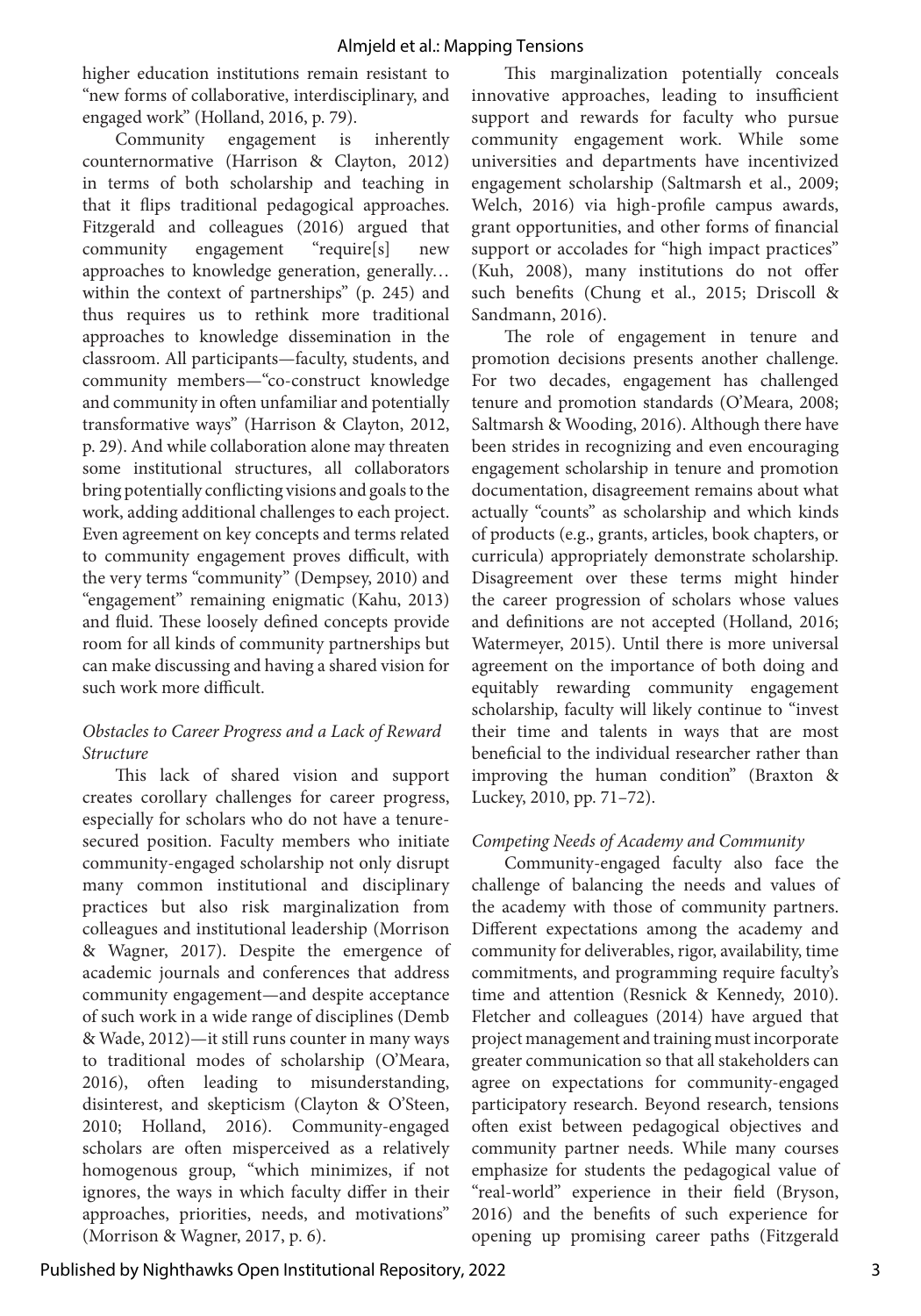higher education institutions remain resistant to "new forms of collaborative, interdisciplinary, and engaged work" (Holland, 2016, p. 79).

Community engagement is inherently counternormative (Harrison & Clayton, 2012) in terms of both scholarship and teaching in that it flips traditional pedagogical approaches. Fitzgerald and colleagues (2016) argued that community engagement "require[s] new approaches to knowledge generation, generally… within the context of partnerships" (p. 245) and thus requires us to rethink more traditional approaches to knowledge dissemination in the classroom. All participants—faculty, students, and community members—"co-construct knowledge and community in often unfamiliar and potentially transformative ways" (Harrison & Clayton, 2012, p. 29). And while collaboration alone may threaten some institutional structures, all collaborators bring potentially conflicting visions and goals to the work, adding additional challenges to each project. Even agreement on key concepts and terms related to community engagement proves difficult, with the very terms "community" (Dempsey, 2010) and "engagement" remaining enigmatic (Kahu, 2013) and fluid. These loosely defined concepts provide room for all kinds of community partnerships but can make discussing and having a shared vision for such work more difficult.

#### *Obstacles to Career Progress and a Lack of Reward Structure*

This lack of shared vision and support creates corollary challenges for career progress, especially for scholars who do not have a tenuresecured position. Faculty members who initiate community-engaged scholarship not only disrupt many common institutional and disciplinary practices but also risk marginalization from colleagues and institutional leadership (Morrison & Wagner, 2017). Despite the emergence of academic journals and conferences that address community engagement—and despite acceptance of such work in a wide range of disciplines (Demb & Wade, 2012)—it still runs counter in many ways to traditional modes of scholarship (O'Meara, 2016), often leading to misunderstanding, disinterest, and skepticism (Clayton & O'Steen, 2010; Holland, 2016). Community-engaged scholars are often misperceived as a relatively homogenous group, "which minimizes, if not ignores, the ways in which faculty differ in their approaches, priorities, needs, and motivations" (Morrison & Wagner, 2017, p. 6).

This marginalization potentially conceals innovative approaches, leading to insufficient support and rewards for faculty who pursue community engagement work. While some universities and departments have incentivized engagement scholarship (Saltmarsh et al., 2009; Welch, 2016) via high-profile campus awards, grant opportunities, and other forms of financial support or accolades for "high impact practices" (Kuh, 2008), many institutions do not offer such benefits (Chung et al., 2015; Driscoll & Sandmann, 2016).

The role of engagement in tenure and promotion decisions presents another challenge. For two decades, engagement has challenged tenure and promotion standards (O'Meara, 2008; Saltmarsh & Wooding, 2016). Although there have been strides in recognizing and even encouraging engagement scholarship in tenure and promotion documentation, disagreement remains about what actually "counts" as scholarship and which kinds of products (e.g., grants, articles, book chapters, or curricula) appropriately demonstrate scholarship. Disagreement over these terms might hinder the career progression of scholars whose values and definitions are not accepted (Holland, 2016; Watermeyer, 2015). Until there is more universal agreement on the importance of both doing and equitably rewarding community engagement scholarship, faculty will likely continue to "invest their time and talents in ways that are most beneficial to the individual researcher rather than improving the human condition" (Braxton & Luckey, 2010, pp. 71–72).

#### *Competing Needs of Academy and Community*

Community-engaged faculty also face the challenge of balancing the needs and values of the academy with those of community partners. Different expectations among the academy and community for deliverables, rigor, availability, time commitments, and programming require faculty's time and attention (Resnick & Kennedy, 2010). Fletcher and colleagues (2014) have argued that project management and training must incorporate greater communication so that all stakeholders can agree on expectations for community-engaged participatory research. Beyond research, tensions often exist between pedagogical objectives and community partner needs. While many courses emphasize for students the pedagogical value of "real-world" experience in their field (Bryson, 2016) and the benefits of such experience for opening up promising career paths (Fitzgerald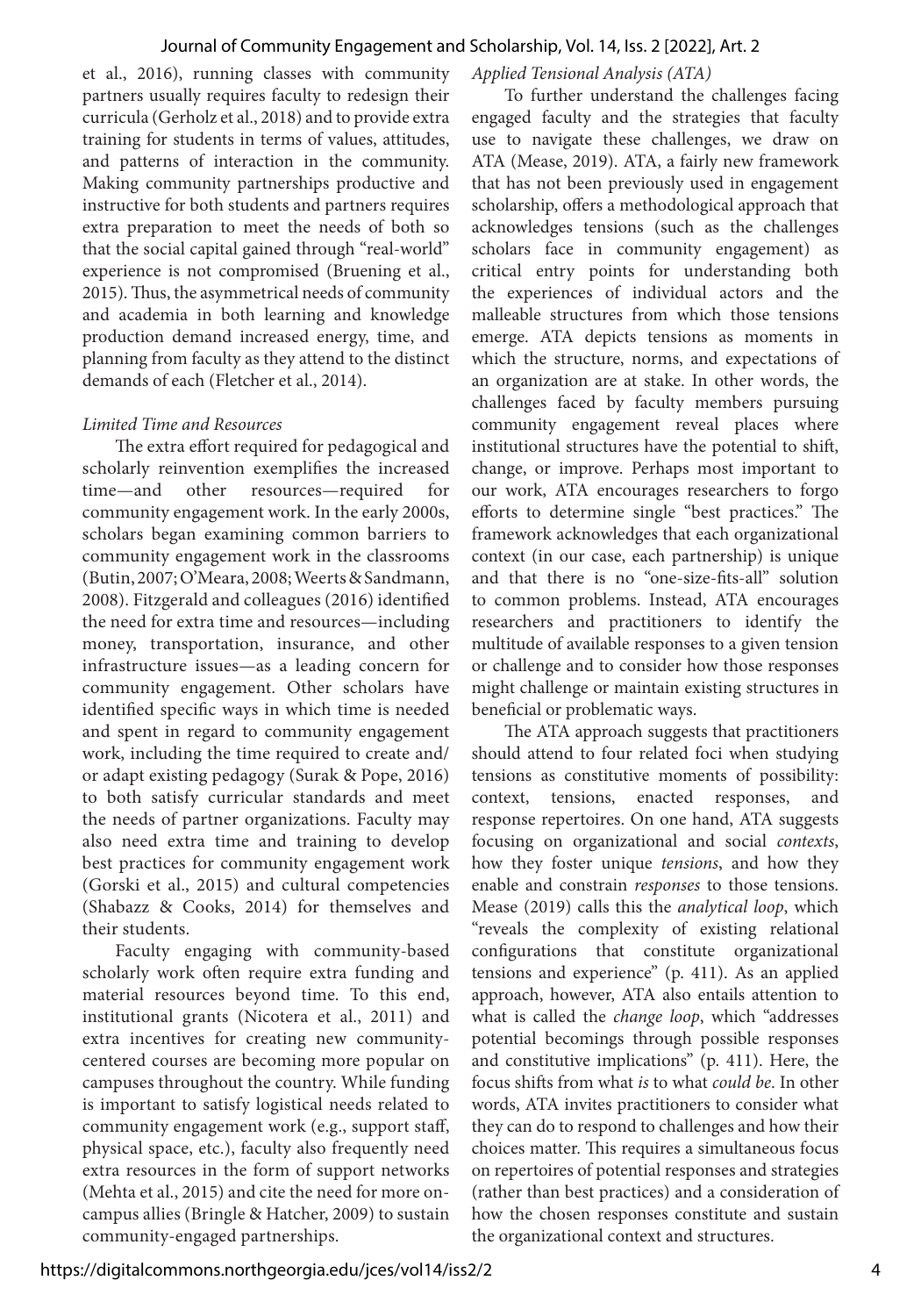et al., 2016), running classes with community partners usually requires faculty to redesign their curricula (Gerholz et al., 2018) and to provide extra training for students in terms of values, attitudes, and patterns of interaction in the community. Making community partnerships productive and instructive for both students and partners requires extra preparation to meet the needs of both so that the social capital gained through "real-world" experience is not compromised (Bruening et al., 2015). Thus, the asymmetrical needs of community and academia in both learning and knowledge production demand increased energy, time, and planning from faculty as they attend to the distinct demands of each (Fletcher et al., 2014).

#### *Limited Time and Resources*

The extra effort required for pedagogical and scholarly reinvention exemplifies the increased time—and other resources—required for community engagement work. In the early 2000s, scholars began examining common barriers to community engagement work in the classrooms (Butin, 2007; O'Meara, 2008; Weerts & Sandmann, 2008). Fitzgerald and colleagues (2016) identified the need for extra time and resources—including money, transportation, insurance, and other infrastructure issues—as a leading concern for community engagement. Other scholars have identified specific ways in which time is needed and spent in regard to community engagement work, including the time required to create and/ or adapt existing pedagogy (Surak & Pope, 2016) to both satisfy curricular standards and meet the needs of partner organizations. Faculty may also need extra time and training to develop best practices for community engagement work (Gorski et al., 2015) and cultural competencies (Shabazz & Cooks, 2014) for themselves and their students.

Faculty engaging with community-based scholarly work often require extra funding and material resources beyond time. To this end, institutional grants (Nicotera et al., 2011) and extra incentives for creating new communitycentered courses are becoming more popular on campuses throughout the country. While funding is important to satisfy logistical needs related to community engagement work (e.g., support staff, physical space, etc.), faculty also frequently need extra resources in the form of support networks (Mehta et al., 2015) and cite the need for more oncampus allies (Bringle & Hatcher, 2009) to sustain community-engaged partnerships.

#### *Applied Tensional Analysis (ATA)*

To further understand the challenges facing engaged faculty and the strategies that faculty use to navigate these challenges, we draw on ATA (Mease, 2019). ATA, a fairly new framework that has not been previously used in engagement scholarship, offers a methodological approach that acknowledges tensions (such as the challenges scholars face in community engagement) as critical entry points for understanding both the experiences of individual actors and the malleable structures from which those tensions emerge. ATA depicts tensions as moments in which the structure, norms, and expectations of an organization are at stake. In other words, the challenges faced by faculty members pursuing community engagement reveal places where institutional structures have the potential to shift, change, or improve. Perhaps most important to our work, ATA encourages researchers to forgo efforts to determine single "best practices." The framework acknowledges that each organizational context (in our case, each partnership) is unique and that there is no "one-size-fits-all" solution to common problems. Instead, ATA encourages researchers and practitioners to identify the multitude of available responses to a given tension or challenge and to consider how those responses might challenge or maintain existing structures in beneficial or problematic ways.

The ATA approach suggests that practitioners should attend to four related foci when studying tensions as constitutive moments of possibility: context, tensions, enacted responses, and response repertoires. On one hand, ATA suggests focusing on organizational and social *contexts*, how they foster unique *tensions*, and how they enable and constrain *responses* to those tensions. Mease (2019) calls this the *analytical loop*, which "reveals the complexity of existing relational configurations that constitute organizational tensions and experience" (p. 411). As an applied approach, however, ATA also entails attention to what is called the *change loop*, which "addresses potential becomings through possible responses and constitutive implications" (p. 411). Here, the focus shifts from what *is* to what *could be*. In other words, ATA invites practitioners to consider what they can do to respond to challenges and how their choices matter. This requires a simultaneous focus on repertoires of potential responses and strategies (rather than best practices) and a consideration of how the chosen responses constitute and sustain the organizational context and structures.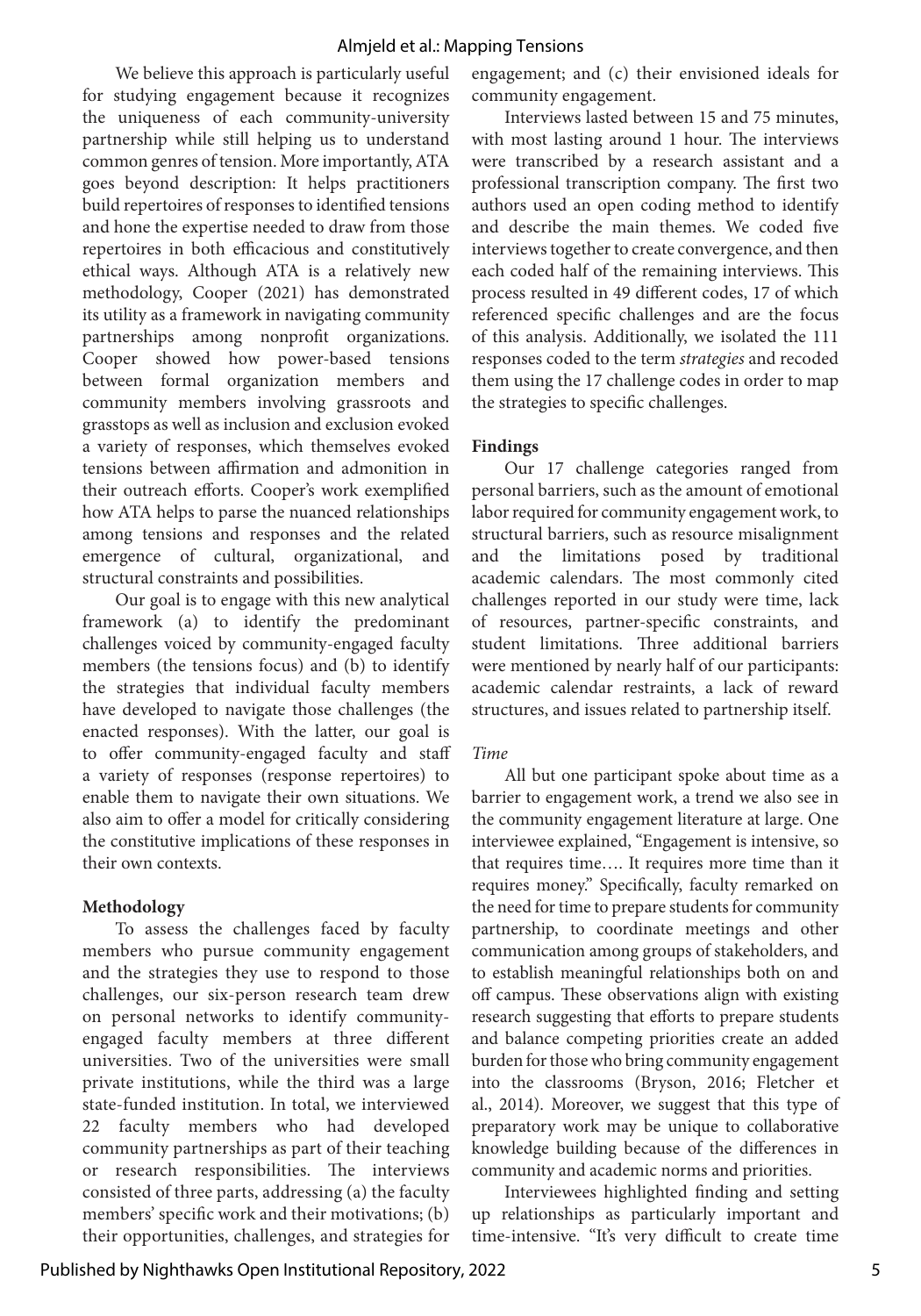We believe this approach is particularly useful for studying engagement because it recognizes the uniqueness of each community-university partnership while still helping us to understand common genres of tension. More importantly, ATA goes beyond description: It helps practitioners build repertoires of responses to identified tensions and hone the expertise needed to draw from those repertoires in both efficacious and constitutively ethical ways. Although ATA is a relatively new methodology, Cooper (2021) has demonstrated its utility as a framework in navigating community partnerships among nonprofit organizations. Cooper showed how power-based tensions between formal organization members and community members involving grassroots and grasstops as well as inclusion and exclusion evoked a variety of responses, which themselves evoked tensions between affirmation and admonition in their outreach efforts. Cooper's work exemplified how ATA helps to parse the nuanced relationships among tensions and responses and the related emergence of cultural, organizational, and structural constraints and possibilities.

Our goal is to engage with this new analytical framework (a) to identify the predominant challenges voiced by community-engaged faculty members (the tensions focus) and (b) to identify the strategies that individual faculty members have developed to navigate those challenges (the enacted responses). With the latter, our goal is to offer community-engaged faculty and staff a variety of responses (response repertoires) to enable them to navigate their own situations. We also aim to offer a model for critically considering the constitutive implications of these responses in their own contexts.

#### **Methodology**

To assess the challenges faced by faculty members who pursue community engagement and the strategies they use to respond to those challenges, our six-person research team drew on personal networks to identify communityengaged faculty members at three different universities. Two of the universities were small private institutions, while the third was a large state-funded institution. In total, we interviewed 22 faculty members who had developed community partnerships as part of their teaching or research responsibilities. The interviews consisted of three parts, addressing (a) the faculty members' specific work and their motivations; (b) their opportunities, challenges, and strategies for engagement; and (c) their envisioned ideals for community engagement.

Interviews lasted between 15 and 75 minutes, with most lasting around 1 hour. The interviews were transcribed by a research assistant and a professional transcription company. The first two authors used an open coding method to identify and describe the main themes. We coded five interviews together to create convergence, and then each coded half of the remaining interviews. This process resulted in 49 different codes, 17 of which referenced specific challenges and are the focus of this analysis. Additionally, we isolated the 111 responses coded to the term *strategies* and recoded them using the 17 challenge codes in order to map the strategies to specific challenges.

#### **Findings**

Our 17 challenge categories ranged from personal barriers, such as the amount of emotional labor required for community engagement work, to structural barriers, such as resource misalignment and the limitations posed by traditional academic calendars. The most commonly cited challenges reported in our study were time, lack of resources, partner-specific constraints, and student limitations. Three additional barriers were mentioned by nearly half of our participants: academic calendar restraints, a lack of reward structures, and issues related to partnership itself.

#### *Time*

All but one participant spoke about time as a barrier to engagement work, a trend we also see in the community engagement literature at large. One interviewee explained, "Engagement is intensive, so that requires time…. It requires more time than it requires money." Specifically, faculty remarked on the need for time to prepare students for community partnership, to coordinate meetings and other communication among groups of stakeholders, and to establish meaningful relationships both on and off campus. These observations align with existing research suggesting that efforts to prepare students and balance competing priorities create an added burden for those who bring community engagement into the classrooms (Bryson, 2016; Fletcher et al., 2014). Moreover, we suggest that this type of preparatory work may be unique to collaborative knowledge building because of the differences in community and academic norms and priorities.

Interviewees highlighted finding and setting up relationships as particularly important and time-intensive. "It's very difficult to create time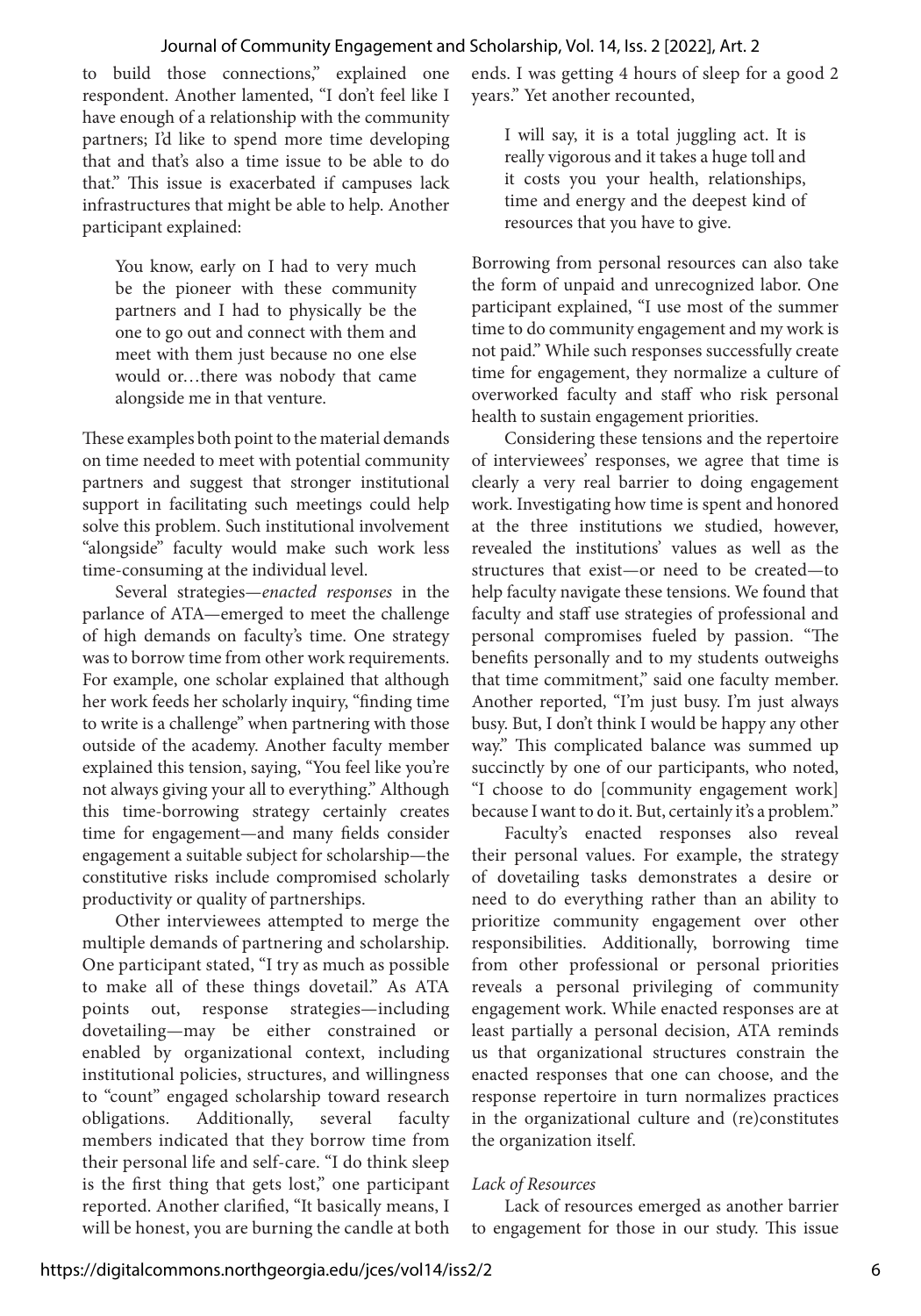to build those connections," explained one respondent. Another lamented, "I don't feel like I have enough of a relationship with the community partners; I'd like to spend more time developing that and that's also a time issue to be able to do that." This issue is exacerbated if campuses lack infrastructures that might be able to help. Another participant explained:

You know, early on I had to very much be the pioneer with these community partners and I had to physically be the one to go out and connect with them and meet with them just because no one else would or…there was nobody that came alongside me in that venture.

These examples both point to the material demands on time needed to meet with potential community partners and suggest that stronger institutional support in facilitating such meetings could help solve this problem. Such institutional involvement "alongside" faculty would make such work less time-consuming at the individual level.

Several strategies—*enacted responses* in the parlance of ATA—emerged to meet the challenge of high demands on faculty's time. One strategy was to borrow time from other work requirements. For example, one scholar explained that although her work feeds her scholarly inquiry, "finding time to write is a challenge" when partnering with those outside of the academy. Another faculty member explained this tension, saying, "You feel like you're not always giving your all to everything." Although this time-borrowing strategy certainly creates time for engagement—and many fields consider engagement a suitable subject for scholarship—the constitutive risks include compromised scholarly productivity or quality of partnerships.

Other interviewees attempted to merge the multiple demands of partnering and scholarship. One participant stated, "I try as much as possible to make all of these things dovetail." As ATA points out, response strategies—including dovetailing—may be either constrained or enabled by organizational context, including institutional policies, structures, and willingness to "count" engaged scholarship toward research obligations. Additionally, several faculty members indicated that they borrow time from their personal life and self-care. "I do think sleep is the first thing that gets lost," one participant reported. Another clarified, "It basically means, I will be honest, you are burning the candle at both

ends. I was getting 4 hours of sleep for a good 2 years." Yet another recounted,

I will say, it is a total juggling act. It is really vigorous and it takes a huge toll and it costs you your health, relationships, time and energy and the deepest kind of resources that you have to give.

Borrowing from personal resources can also take the form of unpaid and unrecognized labor. One participant explained, "I use most of the summer time to do community engagement and my work is not paid." While such responses successfully create time for engagement, they normalize a culture of overworked faculty and staff who risk personal health to sustain engagement priorities.

Considering these tensions and the repertoire of interviewees' responses, we agree that time is clearly a very real barrier to doing engagement work. Investigating how time is spent and honored at the three institutions we studied, however, revealed the institutions' values as well as the structures that exist—or need to be created—to help faculty navigate these tensions. We found that faculty and staff use strategies of professional and personal compromises fueled by passion. "The benefits personally and to my students outweighs that time commitment," said one faculty member. Another reported, "I'm just busy. I'm just always busy. But, I don't think I would be happy any other way." This complicated balance was summed up succinctly by one of our participants, who noted, "I choose to do [community engagement work] because I want to do it. But, certainly it's a problem."

Faculty's enacted responses also reveal their personal values. For example, the strategy of dovetailing tasks demonstrates a desire or need to do everything rather than an ability to prioritize community engagement over other responsibilities. Additionally, borrowing time from other professional or personal priorities reveals a personal privileging of community engagement work. While enacted responses are at least partially a personal decision, ATA reminds us that organizational structures constrain the enacted responses that one can choose, and the response repertoire in turn normalizes practices in the organizational culture and (re)constitutes the organization itself.

#### *Lack of Resources*

Lack of resources emerged as another barrier to engagement for those in our study. This issue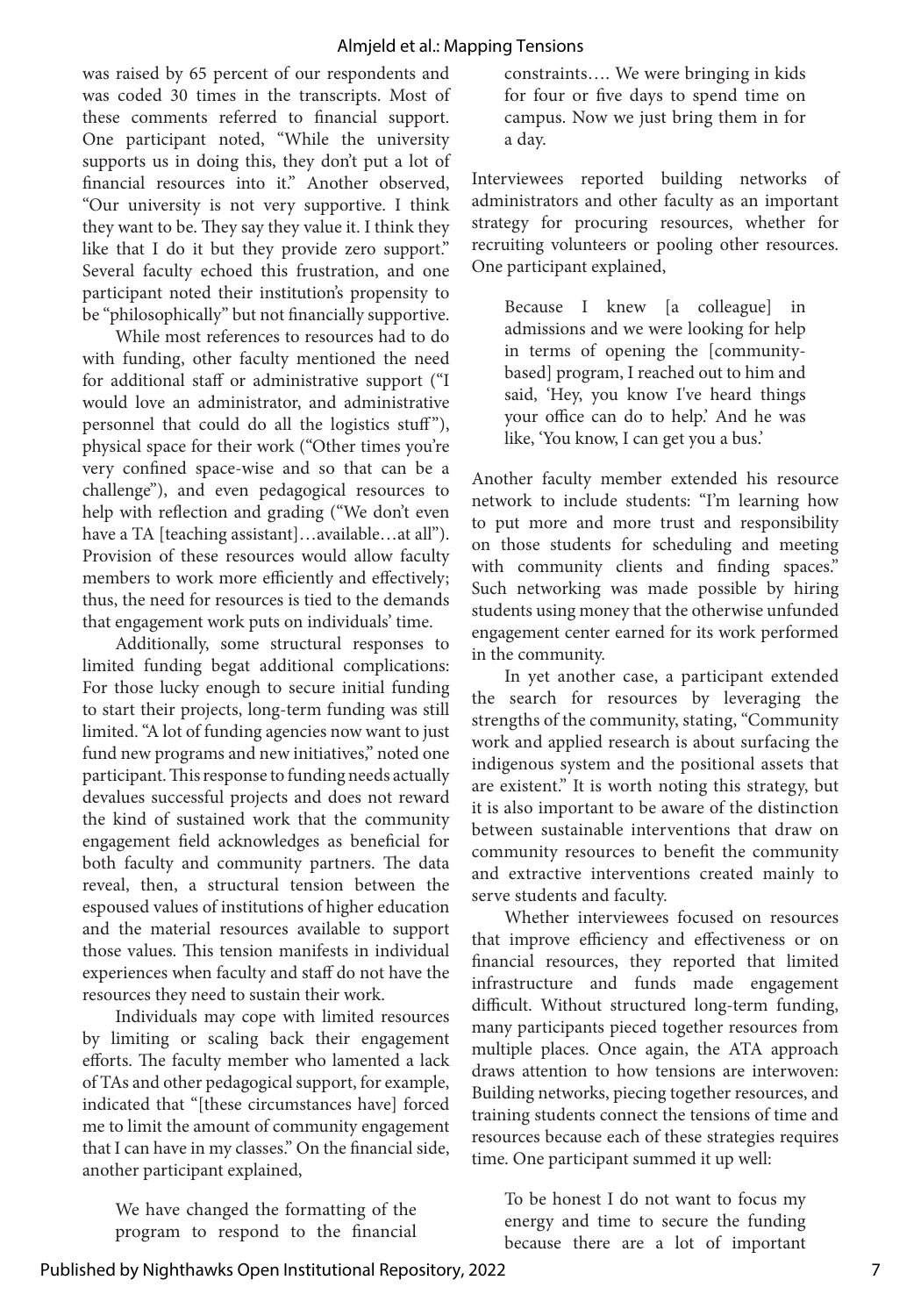was raised by 65 percent of our respondents and was coded 30 times in the transcripts. Most of these comments referred to financial support. One participant noted, "While the university supports us in doing this, they don't put a lot of financial resources into it." Another observed, "Our university is not very supportive. I think they want to be. They say they value it. I think they like that I do it but they provide zero support." Several faculty echoed this frustration, and one participant noted their institution's propensity to be "philosophically" but not financially supportive.

While most references to resources had to do with funding, other faculty mentioned the need for additional staff or administrative support ("I would love an administrator, and administrative personnel that could do all the logistics stuff"), physical space for their work ("Other times you're very confined space-wise and so that can be a challenge"), and even pedagogical resources to help with reflection and grading ("We don't even have a TA [teaching assistant]...available...at all"). Provision of these resources would allow faculty members to work more efficiently and effectively; thus, the need for resources is tied to the demands that engagement work puts on individuals' time.

Additionally, some structural responses to limited funding begat additional complications: For those lucky enough to secure initial funding to start their projects, long-term funding was still limited. "A lot of funding agencies now want to just fund new programs and new initiatives," noted one participant. This response to funding needs actually devalues successful projects and does not reward the kind of sustained work that the community engagement field acknowledges as beneficial for both faculty and community partners. The data reveal, then, a structural tension between the espoused values of institutions of higher education and the material resources available to support those values. This tension manifests in individual experiences when faculty and staff do not have the resources they need to sustain their work.

Individuals may cope with limited resources by limiting or scaling back their engagement efforts. The faculty member who lamented a lack of TAs and other pedagogical support, for example, indicated that "[these circumstances have] forced me to limit the amount of community engagement that I can have in my classes." On the financial side, another participant explained,

We have changed the formatting of the program to respond to the financial constraints…. We were bringing in kids for four or five days to spend time on campus. Now we just bring them in for a day.

Interviewees reported building networks of administrators and other faculty as an important strategy for procuring resources, whether for recruiting volunteers or pooling other resources. One participant explained,

Because I knew [a colleague] in admissions and we were looking for help in terms of opening the [communitybased] program, I reached out to him and said, 'Hey, you know I've heard things your office can do to help.' And he was like, 'You know, I can get you a bus.'

Another faculty member extended his resource network to include students: "I'm learning how to put more and more trust and responsibility on those students for scheduling and meeting with community clients and finding spaces." Such networking was made possible by hiring students using money that the otherwise unfunded engagement center earned for its work performed in the community.

In yet another case, a participant extended the search for resources by leveraging the strengths of the community, stating, "Community work and applied research is about surfacing the indigenous system and the positional assets that are existent." It is worth noting this strategy, but it is also important to be aware of the distinction between sustainable interventions that draw on community resources to benefit the community and extractive interventions created mainly to serve students and faculty.

Whether interviewees focused on resources that improve efficiency and effectiveness or on financial resources, they reported that limited infrastructure and funds made engagement difficult. Without structured long-term funding, many participants pieced together resources from multiple places. Once again, the ATA approach draws attention to how tensions are interwoven: Building networks, piecing together resources, and training students connect the tensions of time and resources because each of these strategies requires time. One participant summed it up well:

To be honest I do not want to focus my energy and time to secure the funding because there are a lot of important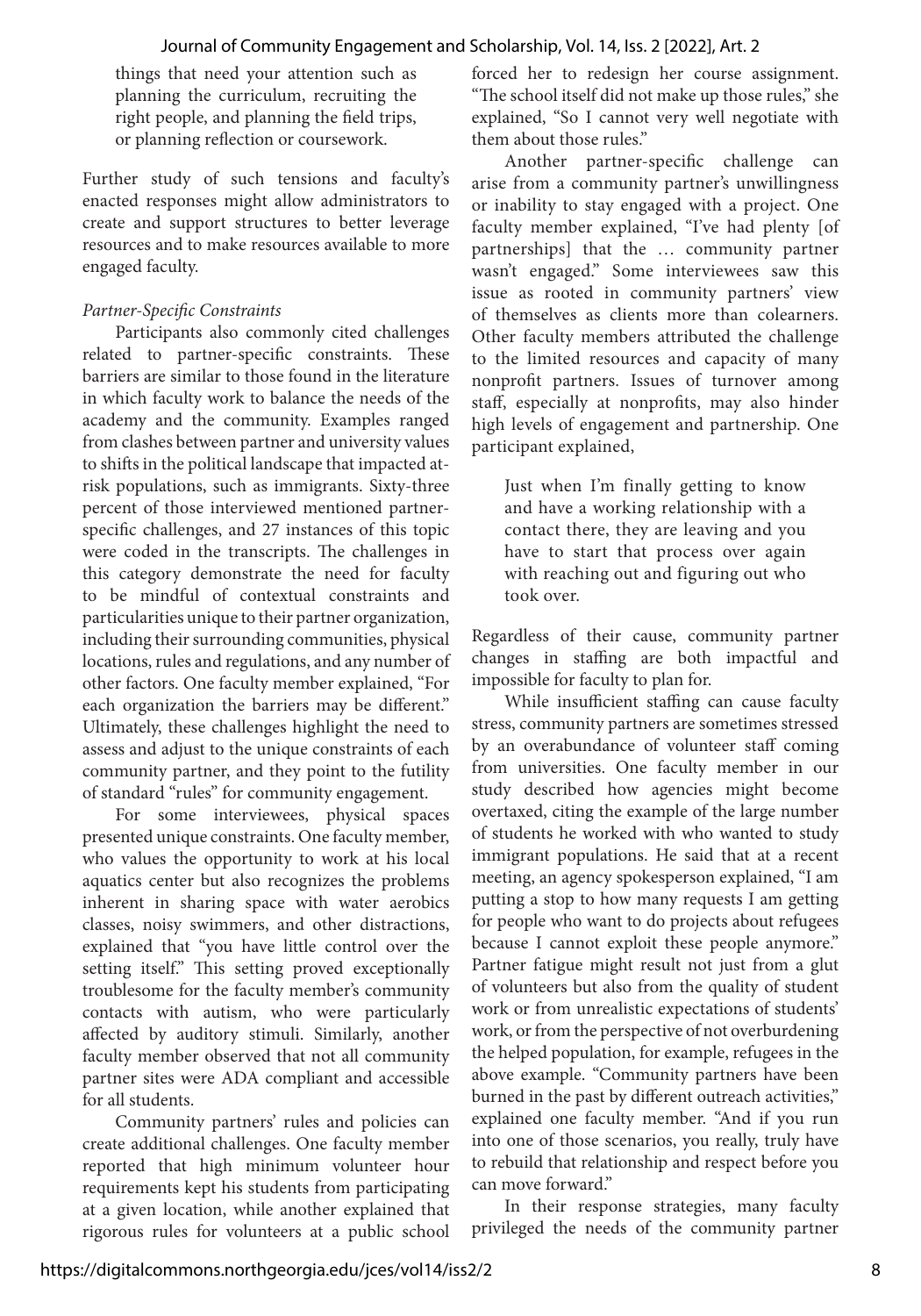things that need your attention such as planning the curriculum, recruiting the right people, and planning the field trips, or planning reflection or coursework.

Further study of such tensions and faculty's enacted responses might allow administrators to create and support structures to better leverage resources and to make resources available to more engaged faculty.

#### *Partner-Specific Constraints*

Participants also commonly cited challenges related to partner-specific constraints. These barriers are similar to those found in the literature in which faculty work to balance the needs of the academy and the community. Examples ranged from clashes between partner and university values to shifts in the political landscape that impacted atrisk populations, such as immigrants. Sixty-three percent of those interviewed mentioned partnerspecific challenges, and 27 instances of this topic were coded in the transcripts. The challenges in this category demonstrate the need for faculty to be mindful of contextual constraints and particularities unique to their partner organization, including their surrounding communities, physical locations, rules and regulations, and any number of other factors. One faculty member explained, "For each organization the barriers may be different." Ultimately, these challenges highlight the need to assess and adjust to the unique constraints of each community partner, and they point to the futility of standard "rules" for community engagement.

For some interviewees, physical spaces presented unique constraints. One faculty member, who values the opportunity to work at his local aquatics center but also recognizes the problems inherent in sharing space with water aerobics classes, noisy swimmers, and other distractions, explained that "you have little control over the setting itself." This setting proved exceptionally troublesome for the faculty member's community contacts with autism, who were particularly affected by auditory stimuli. Similarly, another faculty member observed that not all community partner sites were ADA compliant and accessible for all students.

Community partners' rules and policies can create additional challenges. One faculty member reported that high minimum volunteer hour requirements kept his students from participating at a given location, while another explained that rigorous rules for volunteers at a public school forced her to redesign her course assignment. "The school itself did not make up those rules," she explained, "So I cannot very well negotiate with them about those rules."

Another partner-specific challenge can arise from a community partner's unwillingness or inability to stay engaged with a project. One faculty member explained, "I've had plenty [of partnerships] that the … community partner wasn't engaged." Some interviewees saw this issue as rooted in community partners' view of themselves as clients more than colearners. Other faculty members attributed the challenge to the limited resources and capacity of many nonprofit partners. Issues of turnover among staff, especially at nonprofits, may also hinder high levels of engagement and partnership. One participant explained,

Just when I'm finally getting to know and have a working relationship with a contact there, they are leaving and you have to start that process over again with reaching out and figuring out who took over.

Regardless of their cause, community partner changes in staffing are both impactful and impossible for faculty to plan for.

While insufficient staffing can cause faculty stress, community partners are sometimes stressed by an overabundance of volunteer staff coming from universities. One faculty member in our study described how agencies might become overtaxed, citing the example of the large number of students he worked with who wanted to study immigrant populations. He said that at a recent meeting, an agency spokesperson explained, "I am putting a stop to how many requests I am getting for people who want to do projects about refugees because I cannot exploit these people anymore." Partner fatigue might result not just from a glut of volunteers but also from the quality of student work or from unrealistic expectations of students' work, or from the perspective of not overburdening the helped population, for example, refugees in the above example. "Community partners have been burned in the past by different outreach activities," explained one faculty member. "And if you run into one of those scenarios, you really, truly have to rebuild that relationship and respect before you can move forward."

In their response strategies, many faculty privileged the needs of the community partner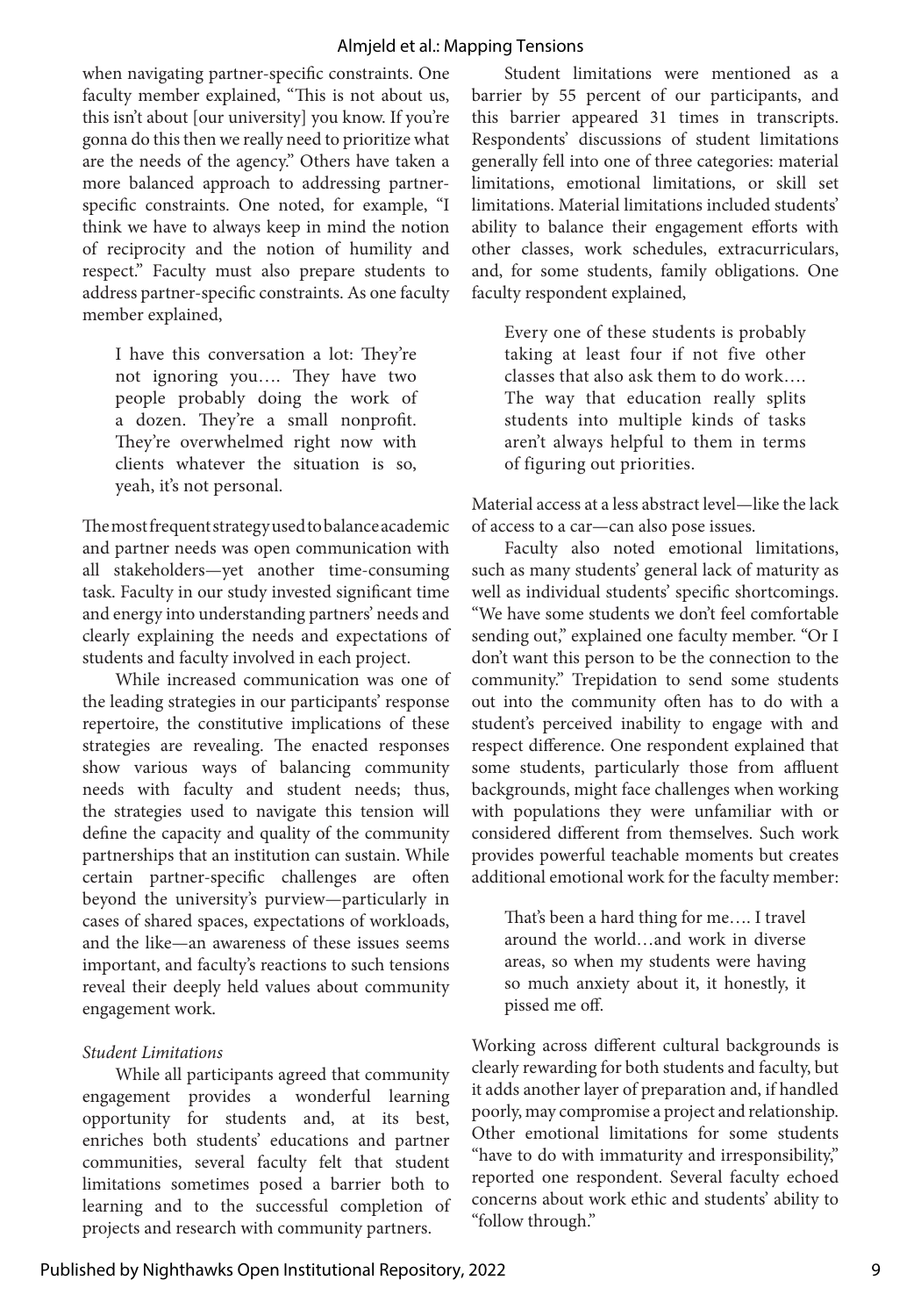when navigating partner-specific constraints. One faculty member explained, "This is not about us, this isn't about [our university] you know. If you're gonna do this then we really need to prioritize what are the needs of the agency." Others have taken a more balanced approach to addressing partnerspecific constraints. One noted, for example, "I think we have to always keep in mind the notion of reciprocity and the notion of humility and respect." Faculty must also prepare students to address partner-specific constraints. As one faculty member explained,

I have this conversation a lot: They're not ignoring you…. They have two people probably doing the work of a dozen. They're a small nonprofit. They're overwhelmed right now with clients whatever the situation is so, yeah, it's not personal.

The most frequent strategy used to balance academic and partner needs was open communication with all stakeholders—yet another time-consuming task. Faculty in our study invested significant time and energy into understanding partners' needs and clearly explaining the needs and expectations of students and faculty involved in each project.

While increased communication was one of the leading strategies in our participants' response repertoire, the constitutive implications of these strategies are revealing. The enacted responses show various ways of balancing community needs with faculty and student needs; thus, the strategies used to navigate this tension will define the capacity and quality of the community partnerships that an institution can sustain. While certain partner-specific challenges are often beyond the university's purview—particularly in cases of shared spaces, expectations of workloads, and the like—an awareness of these issues seems important, and faculty's reactions to such tensions reveal their deeply held values about community engagement work.

#### *Student Limitations*

While all participants agreed that community engagement provides a wonderful learning opportunity for students and, at its best, enriches both students' educations and partner communities, several faculty felt that student limitations sometimes posed a barrier both to learning and to the successful completion of projects and research with community partners.

Student limitations were mentioned as a barrier by 55 percent of our participants, and this barrier appeared 31 times in transcripts. Respondents' discussions of student limitations generally fell into one of three categories: material limitations, emotional limitations, or skill set limitations. Material limitations included students' ability to balance their engagement efforts with other classes, work schedules, extracurriculars, and, for some students, family obligations. One faculty respondent explained,

Every one of these students is probably taking at least four if not five other classes that also ask them to do work…. The way that education really splits students into multiple kinds of tasks aren't always helpful to them in terms of figuring out priorities.

Material access at a less abstract level—like the lack of access to a car—can also pose issues.

Faculty also noted emotional limitations, such as many students' general lack of maturity as well as individual students' specific shortcomings. "We have some students we don't feel comfortable sending out," explained one faculty member. "Or I don't want this person to be the connection to the community." Trepidation to send some students out into the community often has to do with a student's perceived inability to engage with and respect difference. One respondent explained that some students, particularly those from affluent backgrounds, might face challenges when working with populations they were unfamiliar with or considered different from themselves. Such work provides powerful teachable moments but creates additional emotional work for the faculty member:

That's been a hard thing for me…. I travel around the world…and work in diverse areas, so when my students were having so much anxiety about it, it honestly, it pissed me off.

Working across different cultural backgrounds is clearly rewarding for both students and faculty, but it adds another layer of preparation and, if handled poorly, may compromise a project and relationship. Other emotional limitations for some students "have to do with immaturity and irresponsibility," reported one respondent. Several faculty echoed concerns about work ethic and students' ability to "follow through."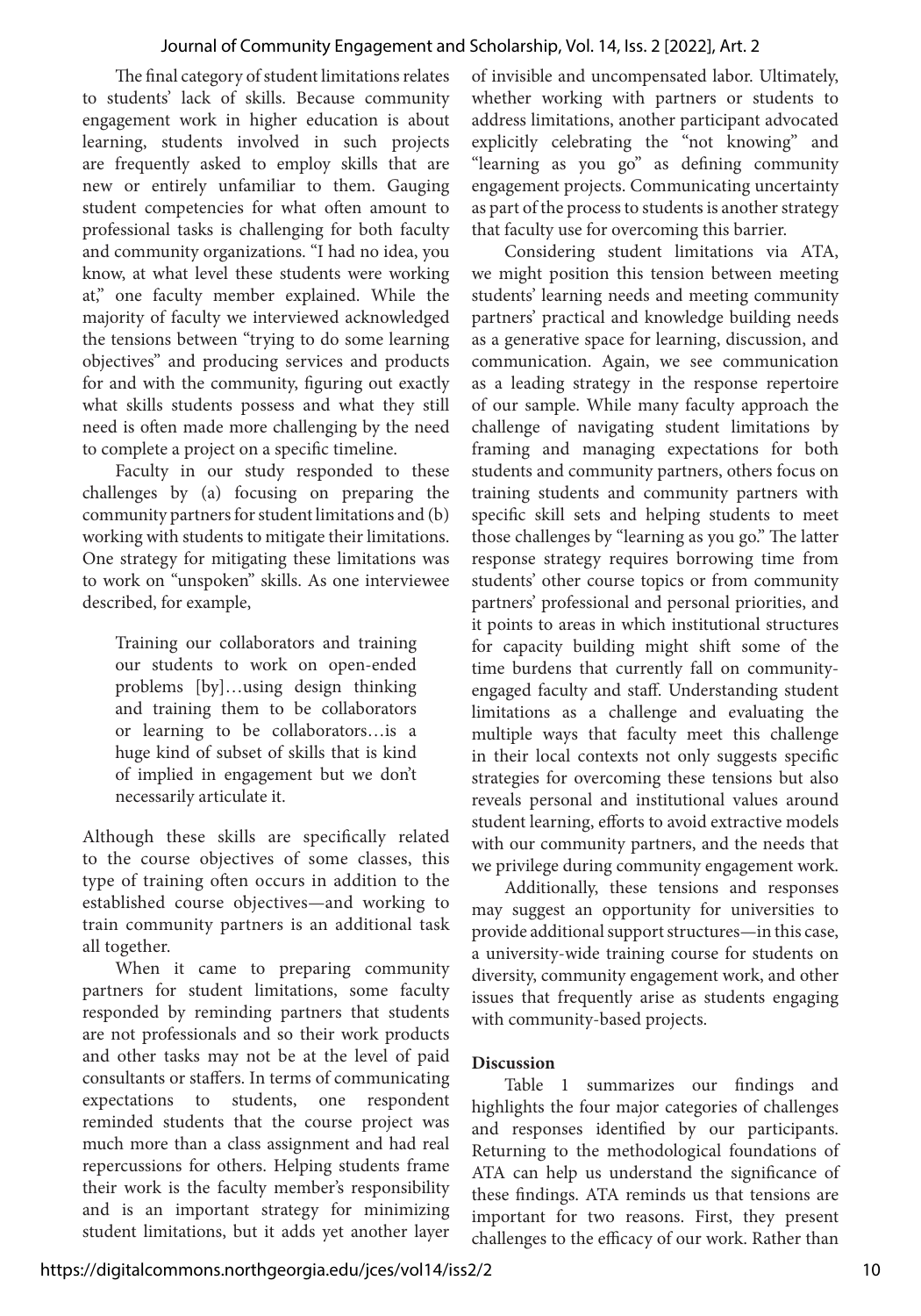The final category of student limitations relates to students' lack of skills. Because community engagement work in higher education is about learning, students involved in such projects are frequently asked to employ skills that are new or entirely unfamiliar to them. Gauging student competencies for what often amount to professional tasks is challenging for both faculty and community organizations. "I had no idea, you know, at what level these students were working at," one faculty member explained. While the majority of faculty we interviewed acknowledged the tensions between "trying to do some learning objectives" and producing services and products for and with the community, figuring out exactly what skills students possess and what they still need is often made more challenging by the need to complete a project on a specific timeline.

Faculty in our study responded to these challenges by (a) focusing on preparing the community partners for student limitations and (b) working with students to mitigate their limitations. One strategy for mitigating these limitations was to work on "unspoken" skills. As one interviewee described, for example,

Training our collaborators and training our students to work on open-ended problems [by]…using design thinking and training them to be collaborators or learning to be collaborators…is a huge kind of subset of skills that is kind of implied in engagement but we don't necessarily articulate it.

Although these skills are specifically related to the course objectives of some classes, this type of training often occurs in addition to the established course objectives—and working to train community partners is an additional task all together.

When it came to preparing community partners for student limitations, some faculty responded by reminding partners that students are not professionals and so their work products and other tasks may not be at the level of paid consultants or staffers. In terms of communicating expectations to students, one respondent reminded students that the course project was much more than a class assignment and had real repercussions for others. Helping students frame their work is the faculty member's responsibility and is an important strategy for minimizing student limitations, but it adds yet another layer of invisible and uncompensated labor. Ultimately, whether working with partners or students to address limitations, another participant advocated explicitly celebrating the "not knowing" and "learning as you go" as defining community engagement projects. Communicating uncertainty as part of the process to students is another strategy that faculty use for overcoming this barrier.

Considering student limitations via ATA, we might position this tension between meeting students' learning needs and meeting community partners' practical and knowledge building needs as a generative space for learning, discussion, and communication. Again, we see communication as a leading strategy in the response repertoire of our sample. While many faculty approach the challenge of navigating student limitations by framing and managing expectations for both students and community partners, others focus on training students and community partners with specific skill sets and helping students to meet those challenges by "learning as you go." The latter response strategy requires borrowing time from students' other course topics or from community partners' professional and personal priorities, and it points to areas in which institutional structures for capacity building might shift some of the time burdens that currently fall on communityengaged faculty and staff. Understanding student limitations as a challenge and evaluating the multiple ways that faculty meet this challenge in their local contexts not only suggests specific strategies for overcoming these tensions but also reveals personal and institutional values around student learning, efforts to avoid extractive models with our community partners, and the needs that we privilege during community engagement work.

Additionally, these tensions and responses may suggest an opportunity for universities to provide additional support structures—in this case, a university-wide training course for students on diversity, community engagement work, and other issues that frequently arise as students engaging with community-based projects.

#### **Discussion**

Table 1 summarizes our findings and highlights the four major categories of challenges and responses identified by our participants. Returning to the methodological foundations of ATA can help us understand the significance of these findings. ATA reminds us that tensions are important for two reasons. First, they present challenges to the efficacy of our work. Rather than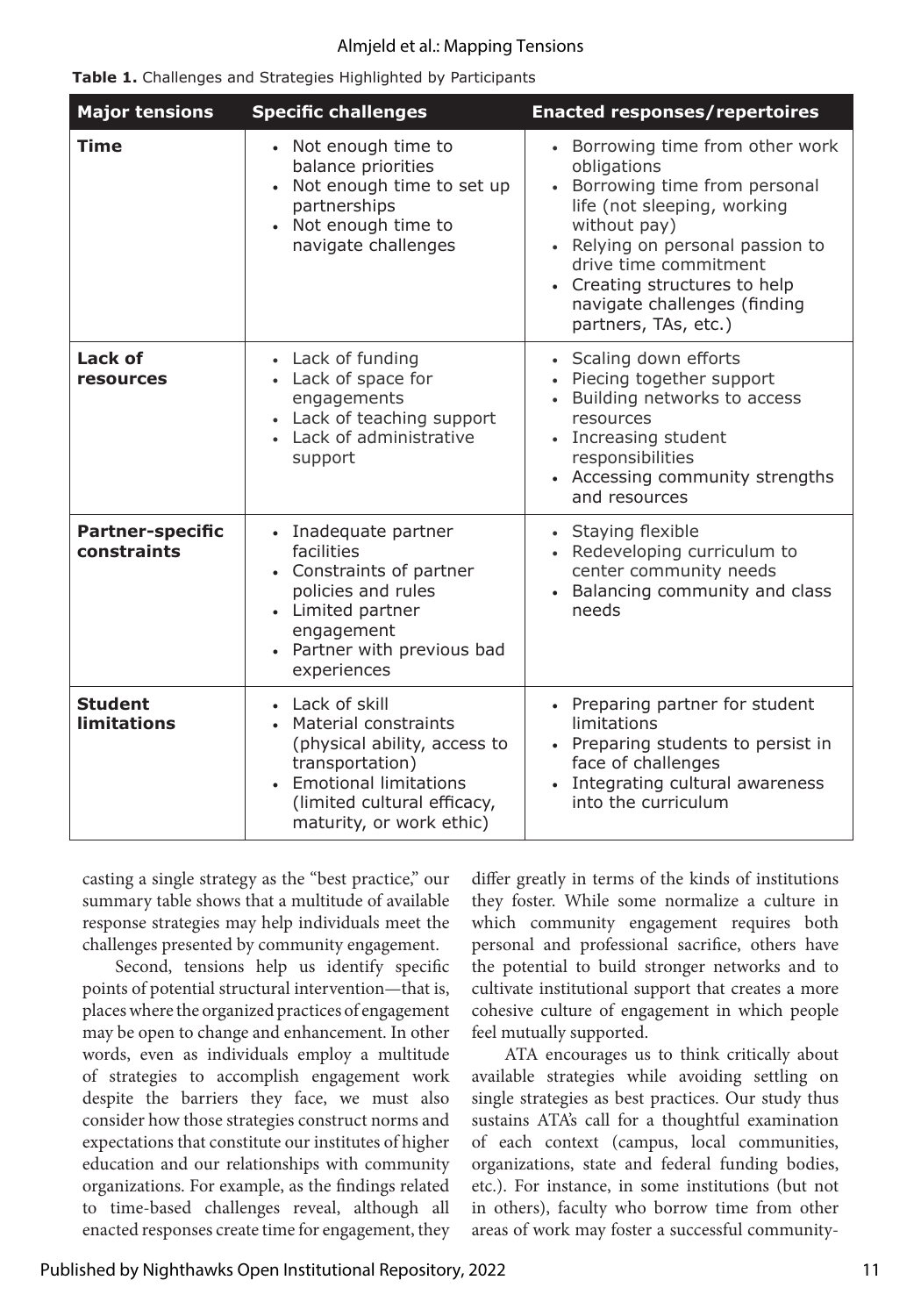|  |  |  | Table 1. Challenges and Strategies Highlighted by Participants |
|--|--|--|----------------------------------------------------------------|
|  |  |  |                                                                |

| <b>Major tensions</b>                | <b>Specific challenges</b>                                                                                                                                                         | <b>Enacted responses/repertoires</b>                                                                                                                                                                                                                                                   |  |  |  |
|--------------------------------------|------------------------------------------------------------------------------------------------------------------------------------------------------------------------------------|----------------------------------------------------------------------------------------------------------------------------------------------------------------------------------------------------------------------------------------------------------------------------------------|--|--|--|
| <b>Time</b>                          | • Not enough time to<br>balance priorities<br>Not enough time to set up<br>partnerships<br>• Not enough time to<br>navigate challenges                                             | • Borrowing time from other work<br>obligations<br>• Borrowing time from personal<br>life (not sleeping, working<br>without pay)<br>• Relying on personal passion to<br>drive time commitment<br>• Creating structures to help<br>navigate challenges (finding<br>partners, TAs, etc.) |  |  |  |
| Lack of<br>resources                 | • Lack of funding<br>• Lack of space for<br>engagements<br>• Lack of teaching support<br>• Lack of administrative<br>support                                                       | • Scaling down efforts<br>• Piecing together support<br>• Building networks to access<br>resources<br>• Increasing student<br>responsibilities<br>• Accessing community strengths<br>and resources                                                                                     |  |  |  |
| Partner-specific<br>constraints      | • Inadequate partner<br>facilities<br>• Constraints of partner<br>policies and rules<br>• Limited partner<br>engagement<br>• Partner with previous bad<br>experiences              | • Staying flexible<br>• Redeveloping curriculum to<br>center community needs<br>• Balancing community and class<br>needs                                                                                                                                                               |  |  |  |
| <b>Student</b><br><b>limitations</b> | • Lack of skill<br>• Material constraints<br>(physical ability, access to<br>transportation)<br>• Emotional limitations<br>(limited cultural efficacy,<br>maturity, or work ethic) | • Preparing partner for student<br>limitations<br>• Preparing students to persist in<br>face of challenges<br>• Integrating cultural awareness<br>into the curriculum                                                                                                                  |  |  |  |

casting a single strategy as the "best practice," our summary table shows that a multitude of available response strategies may help individuals meet the challenges presented by community engagement.

Second, tensions help us identify specific points of potential structural intervention—that is, places where the organized practices of engagement may be open to change and enhancement. In other words, even as individuals employ a multitude of strategies to accomplish engagement work despite the barriers they face, we must also consider how those strategies construct norms and expectations that constitute our institutes of higher education and our relationships with community organizations. For example, as the findings related to time-based challenges reveal, although all enacted responses create time for engagement, they

differ greatly in terms of the kinds of institutions they foster. While some normalize a culture in which community engagement requires both personal and professional sacrifice, others have the potential to build stronger networks and to cultivate institutional support that creates a more cohesive culture of engagement in which people feel mutually supported.

ATA encourages us to think critically about available strategies while avoiding settling on single strategies as best practices. Our study thus sustains ATA's call for a thoughtful examination of each context (campus, local communities, organizations, state and federal funding bodies, etc.). For instance, in some institutions (but not in others), faculty who borrow time from other areas of work may foster a successful community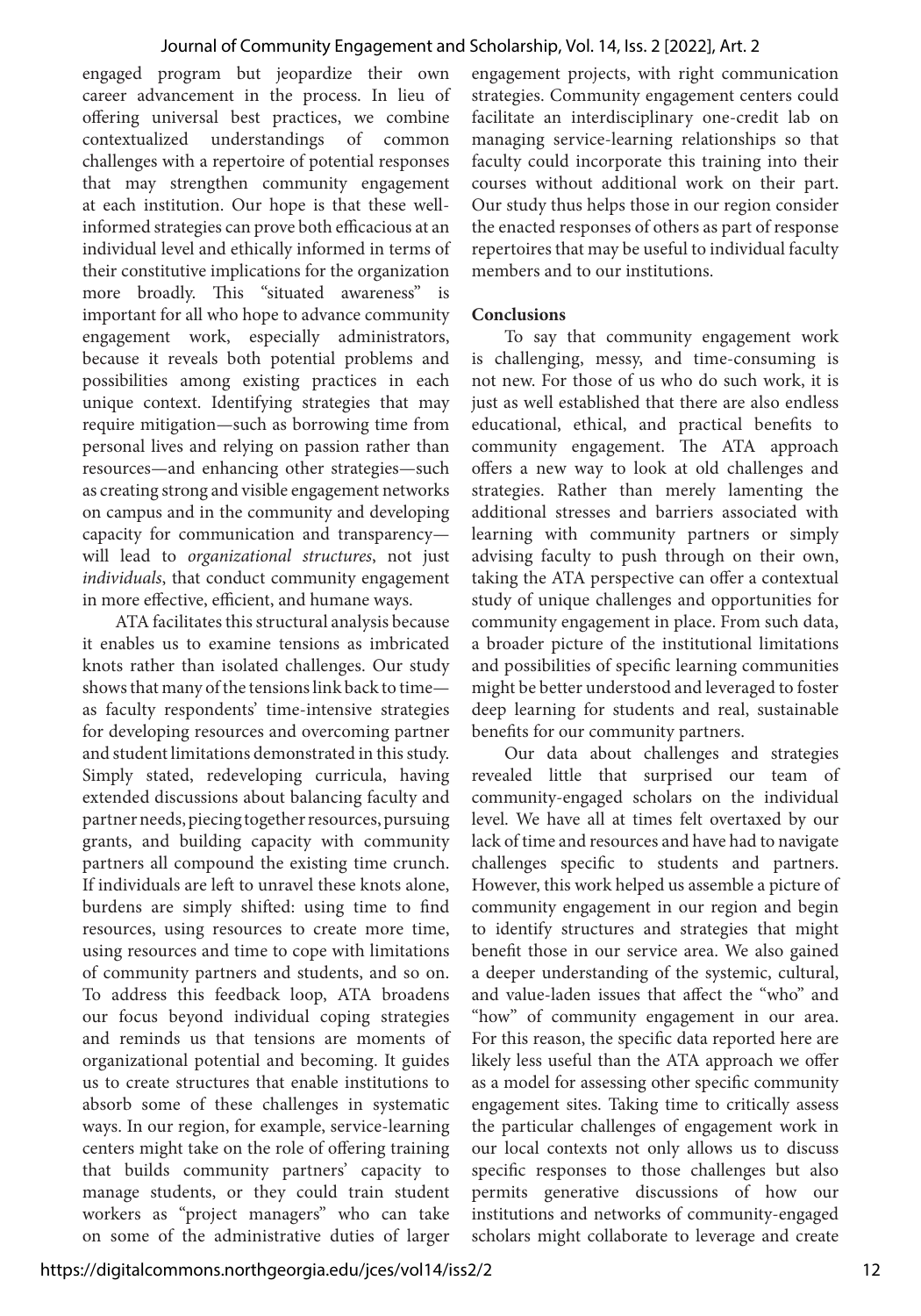engaged program but jeopardize their own career advancement in the process. In lieu of offering universal best practices, we combine contextualized understandings of common challenges with a repertoire of potential responses that may strengthen community engagement at each institution. Our hope is that these wellinformed strategies can prove both efficacious at an individual level and ethically informed in terms of their constitutive implications for the organization more broadly. This "situated awareness" is important for all who hope to advance community engagement work, especially administrators, because it reveals both potential problems and possibilities among existing practices in each unique context. Identifying strategies that may require mitigation—such as borrowing time from personal lives and relying on passion rather than resources—and enhancing other strategies—such as creating strong and visible engagement networks on campus and in the community and developing capacity for communication and transparency will lead to *organizational structures*, not just *individuals*, that conduct community engagement in more effective, efficient, and humane ways.

ATA facilitates this structural analysis because it enables us to examine tensions as imbricated knots rather than isolated challenges. Our study shows that many of the tensions link back to time as faculty respondents' time-intensive strategies for developing resources and overcoming partner and student limitations demonstrated in this study. Simply stated, redeveloping curricula, having extended discussions about balancing faculty and partner needs, piecing together resources, pursuing grants, and building capacity with community partners all compound the existing time crunch. If individuals are left to unravel these knots alone, burdens are simply shifted: using time to find resources, using resources to create more time, using resources and time to cope with limitations of community partners and students, and so on. To address this feedback loop, ATA broadens our focus beyond individual coping strategies and reminds us that tensions are moments of organizational potential and becoming. It guides us to create structures that enable institutions to absorb some of these challenges in systematic ways. In our region, for example, service-learning centers might take on the role of offering training that builds community partners' capacity to manage students, or they could train student workers as "project managers" who can take on some of the administrative duties of larger

engagement projects, with right communication strategies. Community engagement centers could facilitate an interdisciplinary one-credit lab on managing service-learning relationships so that faculty could incorporate this training into their courses without additional work on their part. Our study thus helps those in our region consider the enacted responses of others as part of response repertoires that may be useful to individual faculty members and to our institutions.

#### **Conclusions**

To say that community engagement work is challenging, messy, and time-consuming is not new. For those of us who do such work, it is just as well established that there are also endless educational, ethical, and practical benefits to community engagement. The ATA approach offers a new way to look at old challenges and strategies. Rather than merely lamenting the additional stresses and barriers associated with learning with community partners or simply advising faculty to push through on their own, taking the ATA perspective can offer a contextual study of unique challenges and opportunities for community engagement in place. From such data, a broader picture of the institutional limitations and possibilities of specific learning communities might be better understood and leveraged to foster deep learning for students and real, sustainable benefits for our community partners.

Our data about challenges and strategies revealed little that surprised our team of community-engaged scholars on the individual level. We have all at times felt overtaxed by our lack of time and resources and have had to navigate challenges specific to students and partners. However, this work helped us assemble a picture of community engagement in our region and begin to identify structures and strategies that might benefit those in our service area. We also gained a deeper understanding of the systemic, cultural, and value-laden issues that affect the "who" and "how" of community engagement in our area. For this reason, the specific data reported here are likely less useful than the ATA approach we offer as a model for assessing other specific community engagement sites. Taking time to critically assess the particular challenges of engagement work in our local contexts not only allows us to discuss specific responses to those challenges but also permits generative discussions of how our institutions and networks of community-engaged scholars might collaborate to leverage and create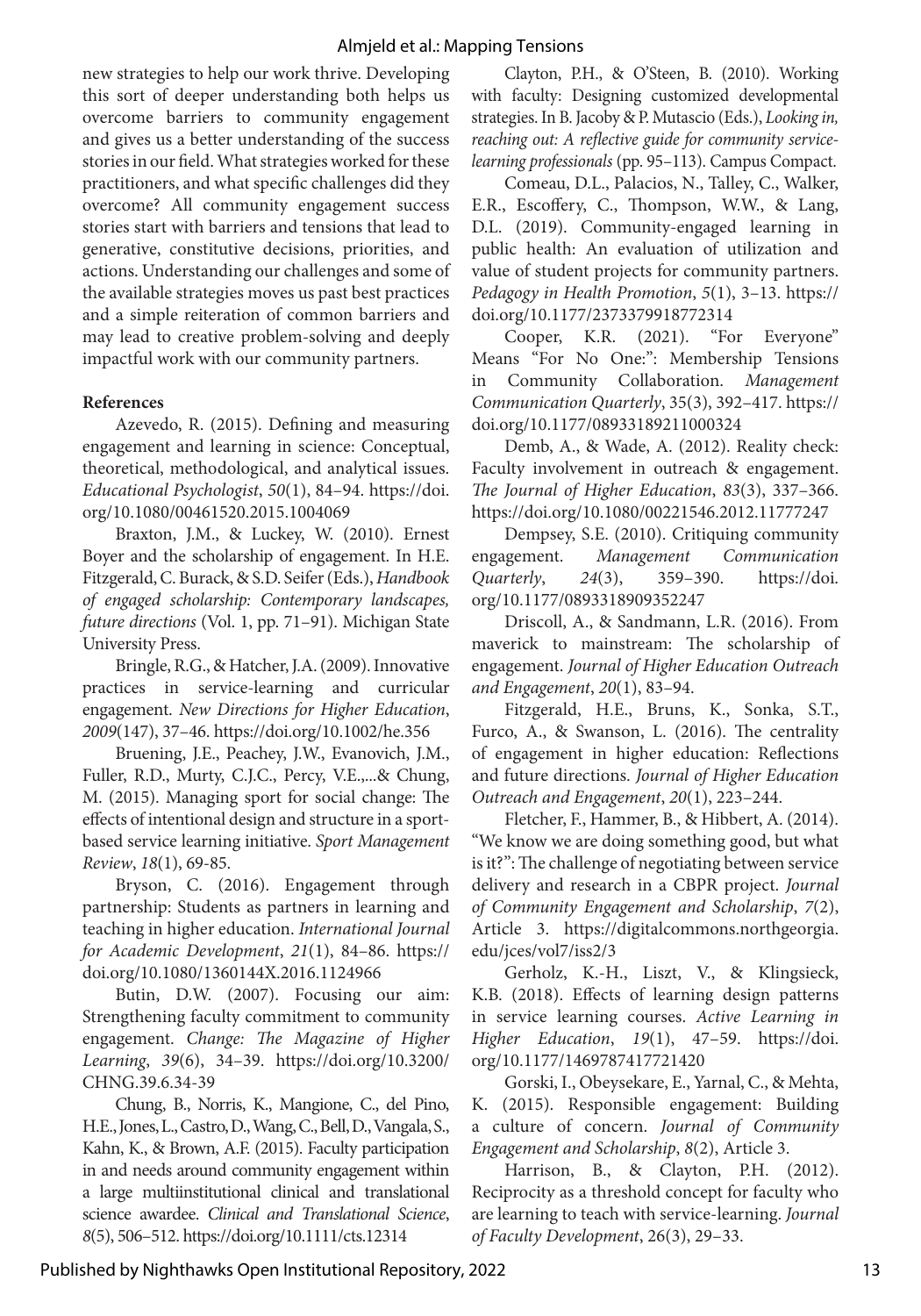new strategies to help our work thrive. Developing this sort of deeper understanding both helps us overcome barriers to community engagement and gives us a better understanding of the success stories in our field. What strategies worked for these practitioners, and what specific challenges did they overcome? All community engagement success stories start with barriers and tensions that lead to generative, constitutive decisions, priorities, and actions. Understanding our challenges and some of the available strategies moves us past best practices and a simple reiteration of common barriers and may lead to creative problem-solving and deeply impactful work with our community partners.

#### **References**

Azevedo, R. (2015). Defining and measuring engagement and learning in science: Conceptual, theoretical, methodological, and analytical issues. *Educational Psychologist*, *50*(1), 84–94. https://doi. org/10.1080/00461520.2015.1004069

Braxton, J.M., & Luckey, W. (2010). Ernest Boyer and the scholarship of engagement. In H.E. Fitzgerald, C. Burack, & S.D. Seifer (Eds.), *Handbook of engaged scholarship: Contemporary landscapes, future directions* (Vol. 1, pp. 71–91). Michigan State University Press.

Bringle, R.G., & Hatcher, J.A. (2009). Innovative practices in service-learning and curricular engagement. *New Directions for Higher Education*, *2009*(147), 37–46. https://doi.org/10.1002/he.356

Bruening, J.E., Peachey, J.W., Evanovich, J.M., Fuller, R.D., Murty, C.J.C., Percy, V.E.,...& Chung, M. (2015). Managing sport for social change: The effects of intentional design and structure in a sportbased service learning initiative. *Sport Management Review*, *18*(1), 69-85.

Bryson, C. (2016). Engagement through partnership: Students as partners in learning and teaching in higher education. *International Journal for Academic Development*, *21*(1), 84–86. https:// doi.org/10.1080/1360144X.2016.1124966

Butin, D.W. (2007). Focusing our aim: Strengthening faculty commitment to community engagement. *Change: The Magazine of Higher Learning*, *39*(6), 34–39. https://doi.org/10.3200/ CHNG.39.6.34-39

Chung, B., Norris, K., Mangione, C., del Pino, H.E., Jones, L., Castro, D., Wang, C., Bell, D., Vangala, S., Kahn, K., & Brown, A.F. (2015). Faculty participation in and needs around community engagement within a large multiinstitutional clinical and translational science awardee. *Clinical and Translational Science*, *8*(5), 506–512. https://doi.org/10.1111/cts.12314

Clayton, P.H., & O'Steen, B. (2010). Working with faculty: Designing customized developmental strategies. In B. Jacoby & P. Mutascio (Eds.), *Looking in, reaching out: A reflective guide for community servicelearning professionals* (pp. 95–113). Campus Compact.

Comeau, D.L., Palacios, N., Talley, C., Walker, E.R., Escoffery, C., Thompson, W.W., & Lang, D.L. (2019). Community-engaged learning in public health: An evaluation of utilization and value of student projects for community partners. *Pedagogy in Health Promotion*, *5*(1), 3–13. https:// doi.org/10.1177/2373379918772314

Cooper, K.R. (2021). "For Everyone" Means "For No One:": Membership Tensions in Community Collaboration. *Management Communication Quarterly*, 35(3), 392–417. https:// doi.org/10.1177/08933189211000324

Demb, A., & Wade, A. (2012). Reality check: Faculty involvement in outreach & engagement. *The Journal of Higher Education*, *83*(3), 337–366. https://doi.org/10.1080/00221546.2012.11777247

Dempsey, S.E. (2010). Critiquing community engagement. *Management Communication Quarterly*, *24*(3), 359–390. https://doi. org/10.1177/0893318909352247

Driscoll, A., & Sandmann, L.R. (2016). From maverick to mainstream: The scholarship of engagement. *Journal of Higher Education Outreach and Engagement*, *20*(1), 83–94.

Fitzgerald, H.E., Bruns, K., Sonka, S.T., Furco, A., & Swanson, L. (2016). The centrality of engagement in higher education: Reflections and future directions. *Journal of Higher Education Outreach and Engagement*, *20*(1), 223–244.

Fletcher, F., Hammer, B., & Hibbert, A. (2014). "We know we are doing something good, but what is it?": The challenge of negotiating between service delivery and research in a CBPR project. *Journal of Community Engagement and Scholarship*, *7*(2), Article 3. https://digitalcommons.northgeorgia. edu/jces/vol7/iss2/3

Gerholz, K.-H., Liszt, V., & Klingsieck, K.B. (2018). Effects of learning design patterns in service learning courses. *Active Learning in Higher Education*, *19*(1), 47–59. https://doi. org/10.1177/1469787417721420

Gorski, I., Obeysekare, E., Yarnal, C., & Mehta, K. (2015). Responsible engagement: Building a culture of concern. *Journal of Community Engagement and Scholarship*, *8*(2), Article 3.

Harrison, B., & Clayton, P.H. (2012). Reciprocity as a threshold concept for faculty who are learning to teach with service-learning. *Journal of Faculty Development*, 26(3), 29–33.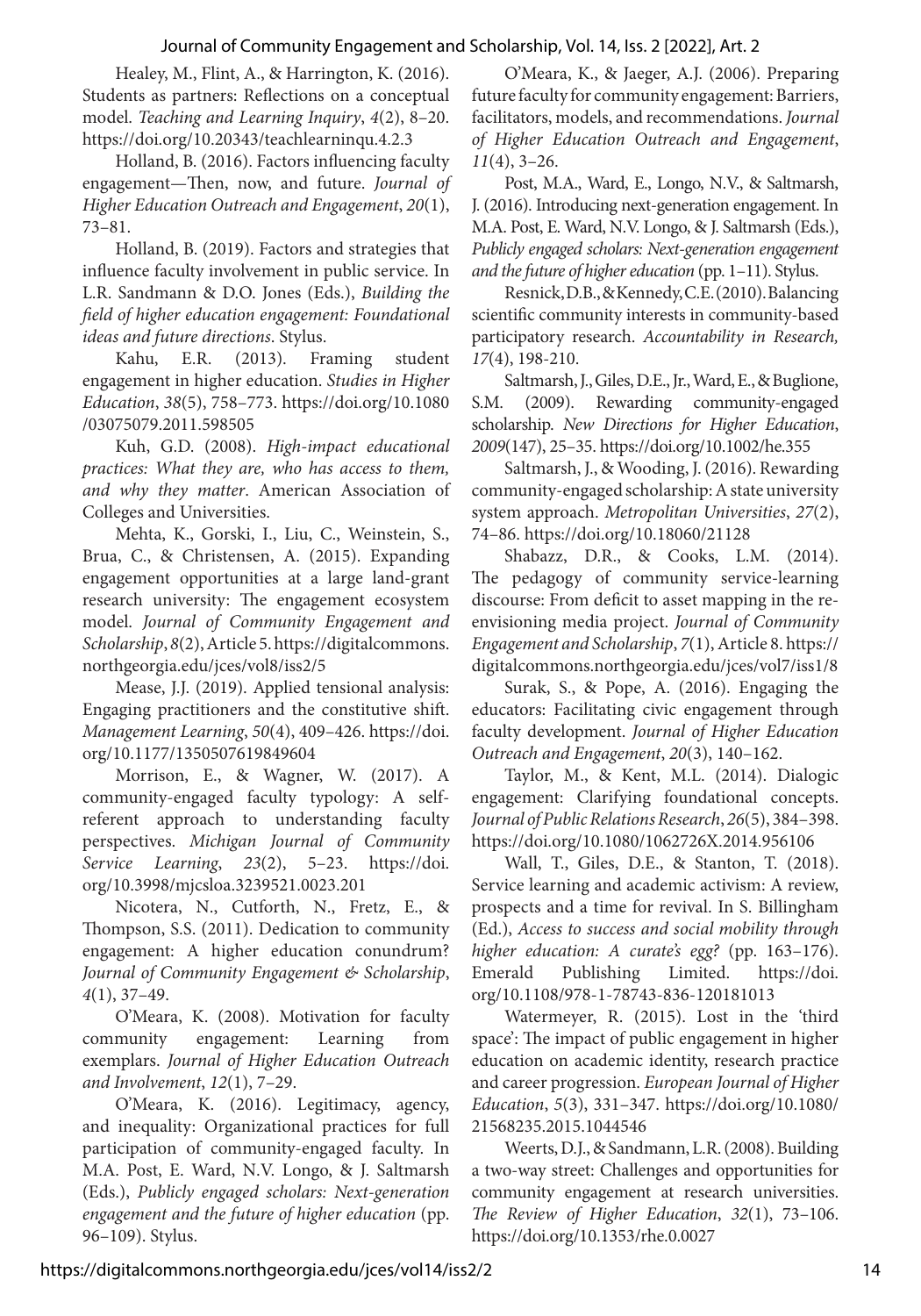Healey, M., Flint, A., & Harrington, K. (2016). Students as partners: Reflections on a conceptual model. *Teaching and Learning Inquiry*, *4*(2), 8–20. https://doi.org/10.20343/teachlearninqu.4.2.3

Holland, B. (2016). Factors influencing faculty engagement—Then, now, and future. *Journal of Higher Education Outreach and Engagement*, *20*(1), 73–81.

Holland, B. (2019). Factors and strategies that influence faculty involvement in public service. In L.R. Sandmann & D.O. Jones (Eds.), *Building the field of higher education engagement: Foundational ideas and future directions*. Stylus.

Kahu, E.R. (2013). Framing student engagement in higher education. *Studies in Higher Education*, *38*(5), 758–773. https://doi.org/10.1080 /03075079.2011.598505

Kuh, G.D. (2008). *High-impact educational practices: What they are, who has access to them, and why they matter*. American Association of Colleges and Universities.

Mehta, K., Gorski, I., Liu, C., Weinstein, S., Brua, C., & Christensen, A. (2015). Expanding engagement opportunities at a large land-grant research university: The engagement ecosystem model. *Journal of Community Engagement and Scholarship*, *8*(2), Article 5. https://digitalcommons. northgeorgia.edu/jces/vol8/iss2/5

Mease, J.J. (2019). Applied tensional analysis: Engaging practitioners and the constitutive shift. *Management Learning*, *50*(4), 409–426. https://doi. org/10.1177/1350507619849604

Morrison, E., & Wagner, W. (2017). A community-engaged faculty typology: A selfreferent approach to understanding faculty perspectives. *Michigan Journal of Community Service Learning*, *23*(2), 5–23. https://doi. org/10.3998/mjcsloa.3239521.0023.201

Nicotera, N., Cutforth, N., Fretz, E., & Thompson, S.S. (2011). Dedication to community engagement: A higher education conundrum? *Journal of Community Engagement & Scholarship*, *4*(1), 37–49.

O'Meara, K. (2008). Motivation for faculty community engagement: Learning from exemplars. *Journal of Higher Education Outreach and Involvement*, *12*(1), 7–29.

O'Meara, K. (2016). Legitimacy, agency, and inequality: Organizational practices for full participation of community-engaged faculty. In M.A. Post, E. Ward, N.V. Longo, & J. Saltmarsh (Eds.), *Publicly engaged scholars: Next-generation engagement and the future of higher education* (pp. 96–109). Stylus.

O'Meara, K., & Jaeger, A.J. (2006). Preparing future faculty for community engagement: Barriers, facilitators, models, and recommendations. *Journal of Higher Education Outreach and Engagement*, *11*(4), 3–26.

Post, M.A., Ward, E., Longo, N.V., & Saltmarsh, J. (2016). Introducing next-generation engagement. In M.A. Post, E. Ward, N.V. Longo, & J. Saltmarsh (Eds.), *Publicly engaged scholars: Next-generation engagement and the future of higher education* (pp. 1–11). Stylus.

Resnick, D.B., & Kennedy, C.E. (2010). Balancing scientific community interests in community-based participatory research. *Accountability in Research, 17*(4), 198-210.

Saltmarsh, J., Giles, D.E., Jr., Ward, E., & Buglione, S.M. (2009). Rewarding community-engaged scholarship. *New Directions for Higher Education*, *2009*(147), 25–35. https://doi.org/10.1002/he.355

Saltmarsh, J., & Wooding, J. (2016). Rewarding community-engaged scholarship: A state university system approach. *Metropolitan Universities*, *27*(2), 74–86. https://doi.org/10.18060/21128

Shabazz, D.R., & Cooks, L.M. (2014). The pedagogy of community service-learning discourse: From deficit to asset mapping in the reenvisioning media project. *Journal of Community Engagement and Scholarship*, *7*(1), Article 8. https:// digitalcommons.northgeorgia.edu/jces/vol7/iss1/8

Surak, S., & Pope, A. (2016). Engaging the educators: Facilitating civic engagement through faculty development. *Journal of Higher Education Outreach and Engagement*, *20*(3), 140–162.

Taylor, M., & Kent, M.L. (2014). Dialogic engagement: Clarifying foundational concepts. *Journal of Public Relations Research*, *26*(5), 384–398. https://doi.org/10.1080/1062726X.2014.956106

Wall, T., Giles, D.E., & Stanton, T. (2018). Service learning and academic activism: A review, prospects and a time for revival. In S. Billingham (Ed.), *Access to success and social mobility through higher education: A curate's egg?* (pp. 163–176). Emerald Publishing Limited. https://doi. org/10.1108/978-1-78743-836-120181013

Watermeyer, R. (2015). Lost in the 'third space': The impact of public engagement in higher education on academic identity, research practice and career progression. *European Journal of Higher Education*, *5*(3), 331–347. https://doi.org/10.1080/ 21568235.2015.1044546

Weerts, D.J., & Sandmann, L.R. (2008). Building a two-way street: Challenges and opportunities for community engagement at research universities. *The Review of Higher Education*, *32*(1), 73–106. https://doi.org/10.1353/rhe.0.0027